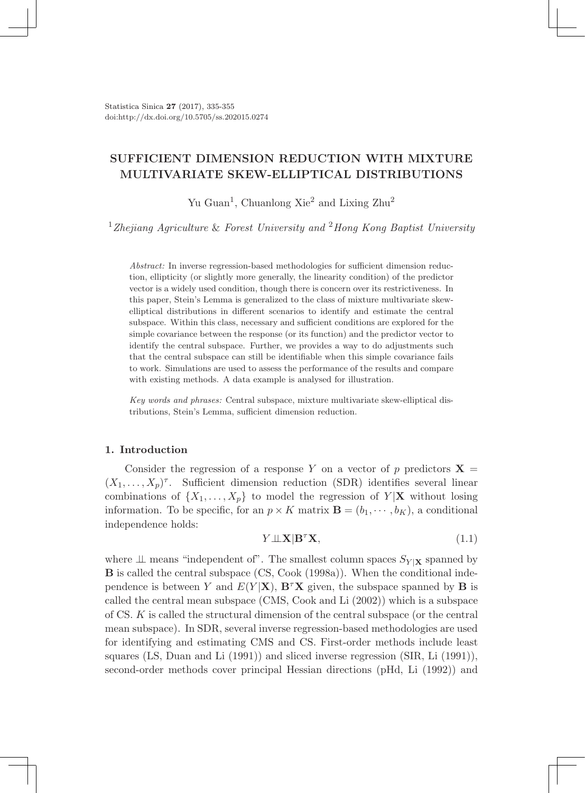Statistica Sinica 27 (2017), 335-355 doi:http://dx.doi.org/10.5705/ss.202015.0274

# SUFFICIENT DIMENSION REDUCTION WITH MIXTURE MULTIVARIATE SKEW-ELLIPTICAL DISTRIBUTIONS

Yu Guan<sup>1</sup>, Chuanlong Xie<sup>2</sup> and Lixing Zhu<sup>2</sup>

<sup>1</sup>*Zhejiang Agriculture* & *Forest University and* <sup>2</sup>*Hong Kong Baptist University*

*Abstract:* In inverse regression-based methodologies for sufficient dimension reduction, ellipticity (or slightly more generally, the linearity condition) of the predictor vector is a widely used condition, though there is concern over its restrictiveness. In this paper, Stein's Lemma is generalized to the class of mixture multivariate skewelliptical distributions in different scenarios to identify and estimate the central subspace. Within this class, necessary and sufficient conditions are explored for the simple covariance between the response (or its function) and the predictor vector to identify the central subspace. Further, we provides a way to do adjustments such that the central subspace can still be identifiable when this simple covariance fails to work. Simulations are used to assess the performance of the results and compare with existing methods. A data example is analysed for illustration.

*Key words and phrases:* Central subspace, mixture multivariate skew-elliptical distributions, Stein's Lemma, sufficient dimension reduction.

### 1. Introduction

Consider the regression of a response *Y* on a vector of *p* predictors  $X =$  $(X_1, \ldots, X_n)^\tau$ . Sufficient dimension reduction (SDR) identifies several linear combinations of  $\{X_1, \ldots, X_p\}$  to model the regression of  $Y|\mathbf{X}$  without losing information. To be specific, for an  $p \times K$  matrix  $\mathbf{B} = (b_1, \dots, b_K)$ , a conditional independence holds:

$$
Y \perp \!\!\! \perp X | \mathbf{B}^{\tau} \mathbf{X}, \tag{1.1}
$$

where  $\perp$  means "independent of". The smallest column spaces  $S_{Y|X}$  spanned by B is called the central subspace (CS, Cook (1998a)). When the conditional independence is between *Y* and  $E(Y|\mathbf{X})$ ,  $\mathbf{B}^{\tau}\mathbf{X}$  given, the subspace spanned by **B** is called the central mean subspace (CMS, Cook and Li (2002)) which is a subspace of CS. *K* is called the structural dimension of the central subspace (or the central mean subspace). In SDR, several inverse regression-based methodologies are used for identifying and estimating CMS and CS. First-order methods include least squares (LS, Duan and Li (1991)) and sliced inverse regression (SIR, Li (1991)), second-order methods cover principal Hessian directions (pHd, Li (1992)) and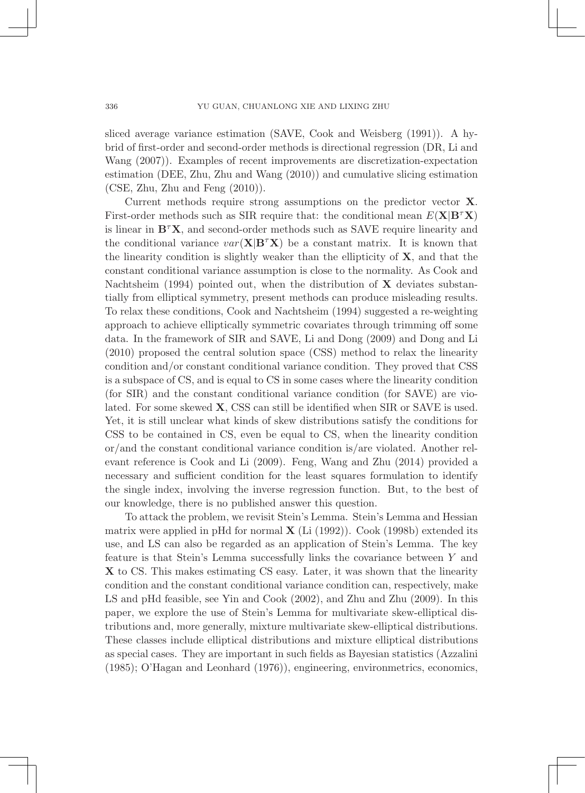sliced average variance estimation (SAVE, Cook and Weisberg (1991)). A hybrid of first-order and second-order methods is directional regression (DR, Li and Wang (2007)). Examples of recent improvements are discretization-expectation estimation (DEE, Zhu, Zhu and Wang (2010)) and cumulative slicing estimation (CSE, Zhu, Zhu and Feng (2010)).

Current methods require strong assumptions on the predictor vector X. First-order methods such as SIR require that: the conditional mean *<sup>E</sup>*(X*|*B*τ*X) is linear in B*τ*X, and second-order methods such as SAVE require linearity and the conditional variance  $var(\mathbf{X}|\mathbf{B}^T\mathbf{X})$  be a constant matrix. It is known that the linearity condition is slightly weaker than the ellipticity of  $X$ , and that the constant conditional variance assumption is close to the normality. As Cook and Nachtsheim (1994) pointed out, when the distribution of  $X$  deviates substantially from elliptical symmetry, present methods can produce misleading results. To relax these conditions, Cook and Nachtsheim (1994) suggested a re-weighting approach to achieve elliptically symmetric covariates through trimming off some data. In the framework of SIR and SAVE, Li and Dong (2009) and Dong and Li (2010) proposed the central solution space (CSS) method to relax the linearity condition and/or constant conditional variance condition. They proved that CSS is a subspace of CS, and is equal to CS in some cases where the linearity condition (for SIR) and the constant conditional variance condition (for SAVE) are violated. For some skewed X, CSS can still be identified when SIR or SAVE is used. Yet, it is still unclear what kinds of skew distributions satisfy the conditions for CSS to be contained in CS, even be equal to CS, when the linearity condition or/and the constant conditional variance condition is/are violated. Another relevant reference is Cook and Li (2009). Feng, Wang and Zhu (2014) provided a necessary and sufficient condition for the least squares formulation to identify the single index, involving the inverse regression function. But, to the best of our knowledge, there is no published answer this question.

To attack the problem, we revisit Stein's Lemma. Stein's Lemma and Hessian matrix were applied in pHd for normal  $\bf{X}$  (Li (1992)). Cook (1998b) extended its use, and LS can also be regarded as an application of Stein's Lemma. The key feature is that Stein's Lemma successfully links the covariance between *Y* and X to CS. This makes estimating CS easy. Later, it was shown that the linearity condition and the constant conditional variance condition can, respectively, make LS and pHd feasible, see Yin and Cook (2002), and Zhu and Zhu (2009). In this paper, we explore the use of Stein's Lemma for multivariate skew-elliptical distributions and, more generally, mixture multivariate skew-elliptical distributions. These classes include elliptical distributions and mixture elliptical distributions as special cases. They are important in such fields as Bayesian statistics (Azzalini (1985); O'Hagan and Leonhard (1976)), engineering, environmetrics, economics,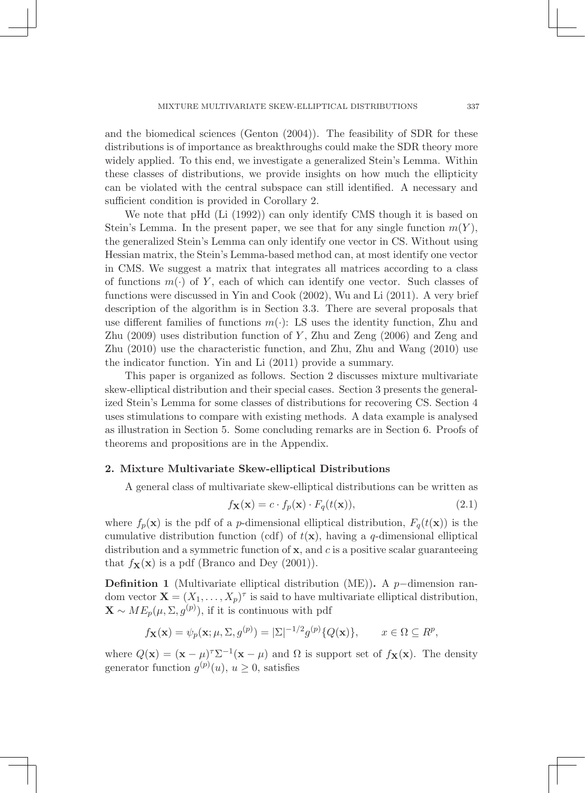and the biomedical sciences (Genton (2004)). The feasibility of SDR for these distributions is of importance as breakthroughs could make the SDR theory more widely applied. To this end, we investigate a generalized Stein's Lemma. Within these classes of distributions, we provide insights on how much the ellipticity can be violated with the central subspace can still identified. A necessary and sufficient condition is provided in Corollary 2.

We note that pHd (Li (1992)) can only identify CMS though it is based on Stein's Lemma. In the present paper, we see that for any single function  $m(Y)$ , the generalized Stein's Lemma can only identify one vector in CS. Without using Hessian matrix, the Stein's Lemma-based method can, at most identify one vector in CMS. We suggest a matrix that integrates all matrices according to a class of functions *m*(*·*) of *Y* , each of which can identify one vector. Such classes of functions were discussed in Yin and Cook (2002), Wu and Li (2011). A very brief description of the algorithm is in Section 3.3. There are several proposals that use different families of functions  $m(\cdot)$ : LS uses the identity function, Zhu and Zhu (2009) uses distribution function of *Y* , Zhu and Zeng (2006) and Zeng and Zhu (2010) use the characteristic function, and Zhu, Zhu and Wang (2010) use the indicator function. Yin and Li (2011) provide a summary.

This paper is organized as follows. Section 2 discusses mixture multivariate skew-elliptical distribution and their special cases. Section 3 presents the generalized Stein's Lemma for some classes of distributions for recovering CS. Section 4 uses stimulations to compare with existing methods. A data example is analysed as illustration in Section 5. Some concluding remarks are in Section 6. Proofs of theorems and propositions are in the Appendix.

### 2. Mixture Multivariate Skew-elliptical Distributions

A general class of multivariate skew-elliptical distributions can be written as

$$
f_{\mathbf{X}}(\mathbf{x}) = c \cdot f_p(\mathbf{x}) \cdot F_q(t(\mathbf{x})), \tag{2.1}
$$

where  $f_p(\mathbf{x})$  is the pdf of a *p*-dimensional elliptical distribution,  $F_q(t(\mathbf{x}))$  is the cumulative distribution function (cdf) of  $t(\mathbf{x})$ , having a *q*-dimensional elliptical distribution and a symmetric function of x, and *c* is a positive scalar guaranteeing that  $f_{\mathbf{X}}(\mathbf{x})$  is a pdf (Branco and Dey (2001)).

Definition 1 (Multivariate elliptical distribution (ME)). A *p−*dimension random vector  $\mathbf{X} = (X_1, \ldots, X_p)^\tau$  is said to have multivariate elliptical distribution,  $\mathbf{X} \sim ME_p(\mu, \Sigma, g^{(p)})$ , if it is continuous with pdf

$$
f_{\mathbf{X}}(\mathbf{x}) = \psi_p(\mathbf{x}; \mu, \Sigma, g^{(p)}) = |\Sigma|^{-1/2} g^{(p)}\{Q(\mathbf{x})\}, \qquad x \in \Omega \subseteq R^p,
$$

where  $Q(x) = (x - \mu)^{\tau} \Sigma^{-1} (x - \mu)$  and  $\Omega$  is support set of  $f_{\mathbf{X}}(x)$ . The density generator function  $g^{(p)}(u)$ ,  $u \ge 0$ , satisfies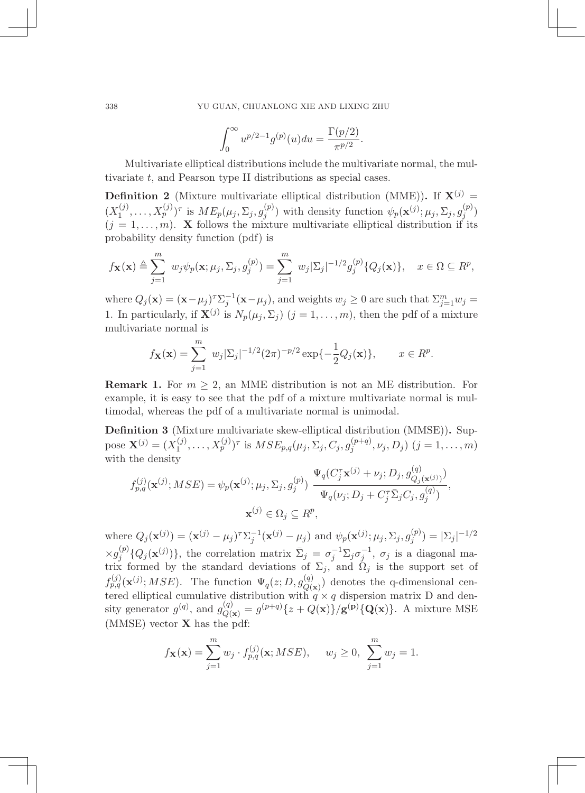$$
\int_0^{\infty} u^{p/2 - 1} g^{(p)}(u) du = \frac{\Gamma(p/2)}{\pi^{p/2}}.
$$

Multivariate elliptical distributions include the multivariate normal, the multivariate *t*, and Pearson type II distributions as special cases.

**Definition 2** (Mixture multivariate elliptical distribution (MME)). If  $X^{(j)}$  =  $(X_1^{(j)},\ldots,X_p^{(j)})^{\tau}$  is  $ME_p(\mu_j,\Sigma_j,g_j^{(p)})$  with density function  $\psi_p(\mathbf{x}^{(j)};\mu_j,\Sigma_j,g_j^{(p)})$  $(j = 1, \ldots, m)$ . **X** follows the mixture multivariate elliptical distribution if its probability density function (pdf) is

$$
f_{\mathbf{X}}(\mathbf{x}) \triangleq \sum_{j=1}^{m} w_j \psi_p(\mathbf{x}; \mu_j, \Sigma_j, g_j^{(p)}) = \sum_{j=1}^{m} w_j |\Sigma_j|^{-1/2} g_j^{(p)} \{Q_j(\mathbf{x})\}, \quad x \in \Omega \subseteq R^p,
$$

where  $Q_j(\mathbf{x})=(\mathbf{x}-\mu_j)^{\tau}\Sigma_j^{-1}(\mathbf{x}-\mu_j)$ , and weights  $w_j\geq 0$  are such that  $\Sigma_{j=1}^m w_j=$ 1. In particularly, if  $\mathbf{X}^{(j)}$  is  $N_p(\mu_j, \Sigma_j)$   $(j = 1, \ldots, m)$ , then the pdf of a mixture multivariate normal is

$$
f_{\mathbf{X}}(\mathbf{x}) = \sum_{j=1}^{m} w_j |\Sigma_j|^{-1/2} (2\pi)^{-p/2} \exp\{-\frac{1}{2}Q_j(\mathbf{x})\}, \qquad x \in R^p.
$$

**Remark 1.** For  $m \geq 2$ , an MME distribution is not an ME distribution. For example, it is easy to see that the pdf of a mixture multivariate normal is multimodal, whereas the pdf of a multivariate normal is unimodal.

Definition 3 (Mixture multivariate skew-elliptical distribution (MMSE)). Suppose  $\mathbf{X}^{(j)} = (X_1^{(j)}, \dots, X_p^{(j)})^{\tau}$  is  $MSE_{p,q}(\mu_j, \Sigma_j, C_j, g_j^{(p+q)}, \nu_j, D_j)$   $(j = 1, \dots, m)$ with the density

$$
f_{p,q}^{(j)}(\mathbf{x}^{(j)};MSE) = \psi_p(\mathbf{x}^{(j)}; \mu_j, \Sigma_j, g_j^{(p)}) \frac{\Psi_q(C_j^{\tau}\mathbf{x}^{(j)} + \nu_j; D_j, g_{Q_j(\mathbf{x}^{(j)})}^{(q)})}{\Psi_q(\nu_j; D_j + C_j^{\tau}\bar{\Sigma}_jC_j, g_j^{(q)})},
$$
  

$$
\mathbf{x}^{(j)} \in \Omega_j \subseteq R^p,
$$

where  $Q_j(\mathbf{x}^{(j)}) = (\mathbf{x}^{(j)} - \mu_j)^{\tau} \sum_{j=1}^{j} (\mathbf{x}^{(j)} - \mu_j)$  and  $\psi_p(\mathbf{x}^{(j)}; \mu_j, \Sigma_j, g_j^{(p)}) = |\Sigma_j|^{-1/2}$  $\times g_j^{(p)}$  { $Q_j(\mathbf{x}^{(j)})$ }, the correlation matrix  $\bar{\Sigma}_j = \sigma_j^{-1} \Sigma_j \sigma_j^{-1}$ ,  $\sigma_j$  is a diagonal matrix formed by the standard deviations of  $\Sigma_j$ , and  $\Omega_j$  is the support set of  $f_{p,q}^{(j)}(\mathbf{x}^{(j)};MSE)$ . The function  $\Psi_q(z;D,g_{Q(\mathbf{x})}^{(q)})$  denotes the q-dimensional centered elliptical cumulative distribution with  $q \times q$  dispersion matrix D and density generator  $g^{(q)}$ , and  $g^{(q)}_{Q(\mathbf{x})} = g^{(p+q)}\{z + Q(\mathbf{x})\}/g^{(p)}\{Q(\mathbf{x})\}$ . A mixture MSE (MMSE) vector X has the pdf:

$$
f_{\mathbf{X}}(\mathbf{x}) = \sum_{j=1}^{m} w_j \cdot f_{p,q}^{(j)}(\mathbf{x}; MSE), \quad w_j \ge 0, \sum_{j=1}^{m} w_j = 1.
$$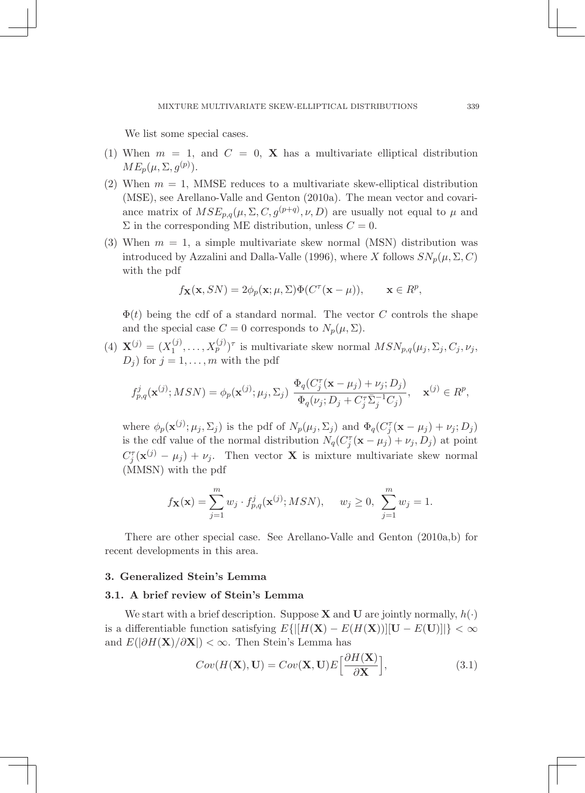We list some special cases.

- (1) When  $m = 1$ , and  $C = 0$ , **X** has a multivariate elliptical distribution  $ME_p(\mu, \Sigma, g^{(p)})$ .
- (2) When  $m = 1$ , MMSE reduces to a multivariate skew-elliptical distribution (MSE), see Arellano-Valle and Genton (2010a). The mean vector and covariance matrix of  $MSE_{p,q}(\mu, \Sigma, C, g^{(p+q)}, \nu, D)$  are usually not equal to  $\mu$  and  $\Sigma$  in the corresponding ME distribution, unless  $C = 0$ .
- (3) When  $m = 1$ , a simple multivariate skew normal (MSN) distribution was introduced by Azzalini and Dalla-Valle (1996), where *X* follows  $SN_p(\mu, \Sigma, C)$ with the pdf

$$
f_{\mathbf{X}}(\mathbf{x},SN) = 2\phi_p(\mathbf{x}; \mu, \Sigma) \Phi(C^{\tau}(\mathbf{x} - \mu)), \quad \mathbf{x} \in R^p,
$$

 $\Phi(t)$  being the cdf of a standard normal. The vector *C* controls the shape and the special case  $C = 0$  corresponds to  $N_p(\mu, \Sigma)$ .

(4)  $\mathbf{X}^{(j)} = (X_1^{(j)}, \ldots, X_p^{(j)})^{\tau}$  is multivariate skew normal  $MSN_{p,q}(\mu_j, \Sigma_j, C_j, \nu_j,$  $D_j$  for  $j = 1, \ldots, m$  with the pdf

$$
f_{p,q}^j(\mathbf{x}^{(j)}; MSN) = \phi_p(\mathbf{x}^{(j)}; \mu_j, \Sigma_j) \frac{\Phi_q(C_j^{\tau}(\mathbf{x} - \mu_j) + \nu_j; D_j)}{\Phi_q(\nu_j; D_j + C_j^{\tau} \overline{\Sigma}_j^{-1} C_j)}, \quad \mathbf{x}^{(j)} \in R^p,
$$

where  $\phi_p(\mathbf{x}^{(j)}; \mu_j, \Sigma_j)$  is the pdf of  $N_p(\mu_j, \Sigma_j)$  and  $\Phi_q(C_j^{\tau}(\mathbf{x} - \mu_j) + \nu_j; D_j)$ is the cdf value of the normal distribution  $N_q(C_j^{\tau}(\mathbf{x} - \mu_j) + \nu_j, D_j)$  at point  $C_j^{\tau}(\mathbf{x}^{(j)} - \mu_j) + \nu_j$ . Then vector **X** is mixture multivariate skew normal (MMSN) with the pdf

$$
f_{\mathbf{X}}(\mathbf{x}) = \sum_{j=1}^{m} w_j \cdot f_{p,q}^j(\mathbf{x}^{(j)}; MSN), \quad w_j \ge 0, \sum_{j=1}^{m} w_j = 1.
$$

There are other special case. See Arellano-Valle and Genton (2010a,b) for recent developments in this area.

### 3. Generalized Stein's Lemma

### 3.1. A brief review of Stein's Lemma

We start with a brief description. Suppose **X** and **U** are jointly normally,  $h(\cdot)$ is a differentiable function satisfying  $E\{|[H(\mathbf{X}) - E(H(\mathbf{X}))|] \mathbf{U} - E(\mathbf{U})\}\| < \infty$ and *E*(*|∂H*(X)*/∂*X*|*) *< ∞*. Then Stein's Lemma has

$$
Cov(H(\mathbf{X}), \mathbf{U}) = Cov(\mathbf{X}, \mathbf{U})E\left[\frac{\partial H(\mathbf{X})}{\partial \mathbf{X}}\right],
$$
\n(3.1)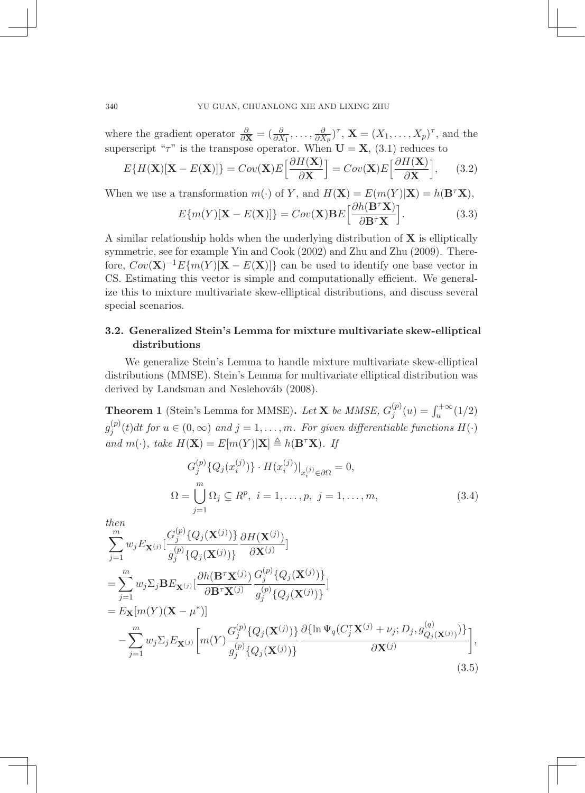where the gradient operator  $\frac{\partial}{\partial \mathbf{X}} = (\frac{\partial}{\partial X_1}, \dots, \frac{\partial}{\partial X_p})^{\tau}$ ,  $\mathbf{X} = (X_1, \dots, X_p)^{\tau}$ , and the superscript " $\tau$ " is the transpose operator. When  $U = X$ , (3.1) reduces to

$$
E\{H(\mathbf{X})[\mathbf{X} - E(\mathbf{X})]\} = Cov(\mathbf{X})E\left[\frac{\partial H(\mathbf{X})}{\partial \mathbf{X}}\right] = Cov(\mathbf{X})E\left[\frac{\partial H(\mathbf{X})}{\partial \mathbf{X}}\right],\tag{3.2}
$$

When we use a transformation  $m(\cdot)$  of *Y*, and  $H(\mathbf{X}) = E(m(Y)|\mathbf{X}) = h(\mathbf{B}^\tau \mathbf{X})$ ,

$$
E\{m(Y)[\mathbf{X} - E(\mathbf{X})]\} = Cov(\mathbf{X})\mathbf{B}E\left[\frac{\partial h(\mathbf{B}^T \mathbf{X})}{\partial \mathbf{B}^T \mathbf{X}}\right].
$$
 (3.3)

A similar relationship holds when the underlying distribution of  $X$  is elliptically symmetric, see for example Yin and Cook (2002) and Zhu and Zhu (2009). Therefore,  $Cov(\mathbf{X})^{-1}E\{m(Y)[\mathbf{X} - E(\mathbf{X})]\}$  can be used to identify one base vector in CS. Estimating this vector is simple and computationally efficient. We generalize this to mixture multivariate skew-elliptical distributions, and discuss several special scenarios.

## 3.2. Generalized Stein's Lemma for mixture multivariate skew-elliptical distributions

We generalize Stein's Lemma to handle mixture multivariate skew-elliptical distributions (MMSE). Stein's Lemma for multivariate elliptical distribution was derived by Landsman and Neslehováb (2008).

**Theorem 1** (Stein's Lemma for MMSE). Let **X** be MMSE,  $G_j^{(p)}(u) = \int_u^{+\infty} (1/2)$  $g_j^{(p)}(t)dt$  for  $u \in (0, \infty)$  and  $j = 1, \ldots, m$ *. For given differentiable functions*  $H(·)$  $\mathcal{L}$  *and*  $m(\cdot)$ *, take*  $H(\mathbf{X}) = E[m(Y)|\mathbf{X}] \triangleq h(\mathbf{B}^{\tau}\mathbf{X})$ *. If* 

$$
G_j^{(p)}\{Q_j(x_i^{(j)})\} \cdot H(x_i^{(j)})|_{x_i^{(j)} \in \partial \Omega} = 0,
$$
  
\n
$$
\Omega = \bigcup_{j=1}^m \Omega_j \subseteq R^p, \ i = 1, \dots, p, \ j = 1, \dots, m,
$$
\n(3.4)

*then*

$$
\sum_{j=1}^{m} w_{j} E_{\mathbf{X}^{(j)}} \Big[ \frac{G_{j}^{(p)} \{ Q_{j}(\mathbf{X}^{(j)}) \} }{g_{j}^{(p)} \{ Q_{j}(\mathbf{X}^{(j)}) \} } \frac{\partial H(\mathbf{X}^{(j)})}{\partial \mathbf{X}^{(j)}} \Big]
$$
\n
$$
= \sum_{j=1}^{m} w_{j} \Sigma_{j} \mathbf{B} E_{\mathbf{X}^{(j)}} \Big[ \frac{\partial h(\mathbf{B}^{\tau} \mathbf{X}^{(j)}) G_{j}^{(p)} \{ Q_{j}(\mathbf{X}^{(j)}) \} }{g_{j}^{(p)} \{ Q_{j}(\mathbf{X}^{(j)}) \} } \Big]
$$
\n
$$
= E_{\mathbf{X}} [m(Y) (\mathbf{X} - \mu^{*})] - \sum_{j=1}^{m} w_{j} \Sigma_{j} E_{\mathbf{X}^{(j)}} \Big[ m(Y) \frac{G_{j}^{(p)} \{ Q_{j}(\mathbf{X}^{(j)}) \} }{g_{j}^{(p)} \{ Q_{j}(\mathbf{X}^{(j)}) \} } \frac{\partial {\{\ln \Psi_{q}(C_{j}^{\tau} \mathbf{X}^{(j)} + \nu_{j}; D_{j}, g_{Q_{j}(\mathbf{X}^{(j)})}) \} }{\partial \mathbf{X}^{(j)}} \Big], \tag{3.5}
$$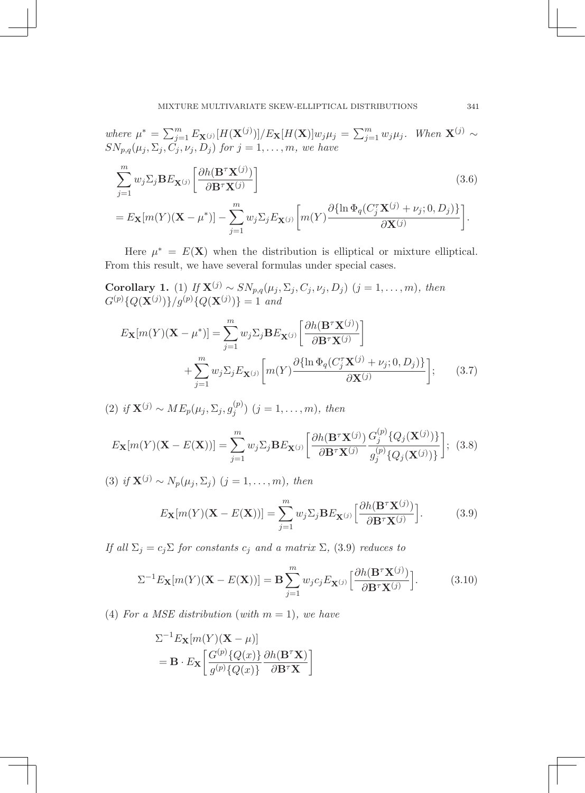MIXTURE MULTIVARIATE SKEW-ELLIPTICAL DISTRIBUTIONS 7

where  $\mu^* = \sum_{j=1}^m E_{\mathbf{X}^{(j)}}[H(\mathbf{X}^{(j)})]/E_{\mathbf{X}}[H(\mathbf{X})]w_j\mu_j = \sum_{j=1}^m w_j\mu_j$ . When  $\mathbf{X}^{(j)} \sim$  $SN_{p,q}(\mu_j, \Sigma_j, C_j, \nu_j, D_j)$  *for*  $j = 1, \ldots, m$ *, we have* 

$$
\sum_{j=1}^{m} w_j \Sigma_j \mathbf{B} E_{\mathbf{X}^{(j)}} \left[ \frac{\partial h(\mathbf{B}^\tau \mathbf{X}^{(j)})}{\partial \mathbf{B}^\tau \mathbf{X}^{(j)}} \right]
$$
(3.6)  
=  $E_{\mathbf{X}} [m(Y)(\mathbf{X} - \mu^*)] - \sum_{j=1}^{m} w_j \Sigma_j E_{\mathbf{X}^{(j)}} \left[ m(Y) \frac{\partial {\{\ln \Phi_q(C_j^\tau \mathbf{X}^{(j)} + \nu_j; 0, D_j)\}}}{\partial \mathbf{X}^{(j)}} \right].$ 

Here  $\mu^* = E(\mathbf{X})$  when the distribution is elliptical or mixture elliptical. From this result, we have several formulas under special cases.

Corollary 1. (1) *If*  $\mathbf{X}^{(j)} \sim SN_{p,q}(\mu_j, \Sigma_j, C_j, \nu_j, D_j)$  (*j* = 1,...,*m*)*, then*  $G^{(p)}\{Q(\mathbf{X}^{(j)})\}/g^{(p)}\{Q(\mathbf{X}^{(j)})\}=1$  and

$$
E_{\mathbf{X}}[m(Y)(\mathbf{X} - \mu^*)] = \sum_{j=1}^{m} w_j \Sigma_j \mathbf{B} E_{\mathbf{X}^{(j)}} \left[ \frac{\partial h(\mathbf{B}^\tau \mathbf{X}^{(j)})}{\partial \mathbf{B}^\tau \mathbf{X}^{(j)}} \right] + \sum_{j=1}^{m} w_j \Sigma_j E_{\mathbf{X}^{(j)}} \left[ m(Y) \frac{\partial \{\ln \Phi_q(C_j^\tau \mathbf{X}^{(j)} + \nu_j; 0, D_j) \}}{\partial \mathbf{X}^{(j)}} \right];
$$
 (3.7)

(2) if 
$$
\mathbf{X}^{(j)} \sim ME_p(\mu_j, \Sigma_j, g_j^{(p)})
$$
  $(j = 1, \ldots, m)$ , then

$$
E_{\mathbf{X}}[m(Y)(\mathbf{X}-E(\mathbf{X}))]=\sum_{j=1}^{m}w_{j}\Sigma_{j}\mathbf{B}E_{\mathbf{X}^{(j)}}\bigg[\frac{\partial h(\mathbf{B}^{\tau}\mathbf{X}^{(j)})}{\partial \mathbf{B}^{\tau}\mathbf{X}^{(j)}}\frac{G_{j}^{(p)}\{Q_{j}(\mathbf{X}^{(j)})\}}{g_{j}^{(p)}\{Q_{j}(\mathbf{X}^{(j)})\}}\bigg];\tag{3.8}
$$

(3) *if*  $X^{(j)} \sim N_p(\mu_j, \Sigma_j)$  (*j* = 1,...,*m*)*, then* 

$$
E_{\mathbf{X}}[m(Y)(\mathbf{X}-E(\mathbf{X}))]=\sum_{j=1}^{m}w_{j}\Sigma_{j}\mathbf{B}E_{\mathbf{X}^{(j)}}\Big[\frac{\partial h(\mathbf{B}^{\tau}\mathbf{X}^{(j)})}{\partial \mathbf{B}^{\tau}\mathbf{X}^{(j)}}\Big].
$$
 (3.9)

*If all*  $\Sigma_j = c_j \Sigma$  *for constants*  $c_j$  *and a matrix*  $\Sigma$ *,* (3.9) *reduces to* 

$$
\Sigma^{-1} E_{\mathbf{X}}[m(Y)(\mathbf{X} - E(\mathbf{X}))] = \mathbf{B} \sum_{j=1}^{m} w_j c_j E_{\mathbf{X}^{(j)}} \left[ \frac{\partial h(\mathbf{B}^{\tau} \mathbf{X}^{(j)})}{\partial \mathbf{B}^{\tau} \mathbf{X}^{(j)}} \right].
$$
 (3.10)

(4) For a MSE distribution (with  $m = 1$ ), we have

$$
\Sigma^{-1} E_{\mathbf{X}}[m(Y)(\mathbf{X} - \mu)]
$$
  
=  $\mathbf{B} \cdot E_{\mathbf{X}} \left[ \frac{G^{(p)}\{Q(x)\}}{g^{(p)}\{Q(x)\}} \frac{\partial h(\mathbf{B}^{\tau}\mathbf{X})}{\partial \mathbf{B}^{\tau}\mathbf{X}} \right]$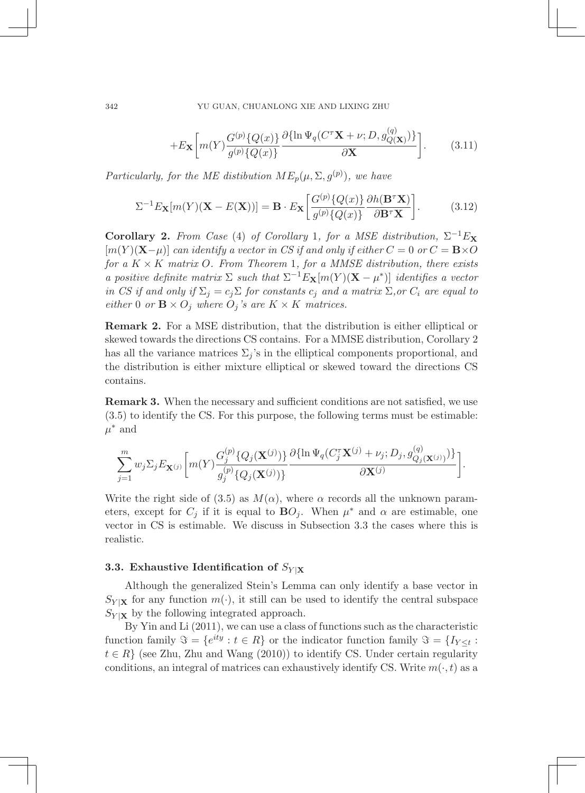$$
+E_{\mathbf{X}}\bigg[m(Y)\frac{G^{(p)}\{Q(x)\}}{g^{(p)}\{Q(x)\}}\frac{\partial{\{\ln\Psi_q(C^{\tau}\mathbf{X}+\nu;D,g^{(q)}_{Q(\mathbf{X})})\}}}{\partial\mathbf{X}}\bigg].\tag{3.11}
$$

*Particularly, for the ME distibution*  $ME_p(\mu, \Sigma, g^{(p)})$ , we have

$$
\Sigma^{-1} E_{\mathbf{X}}[m(Y)(\mathbf{X} - E(\mathbf{X}))] = \mathbf{B} \cdot E_{\mathbf{X}} \left[ \frac{G^{(p)}\{Q(x)\}}{g^{(p)}\{Q(x)\}} \frac{\partial h(\mathbf{B}^\tau \mathbf{X})}{\partial \mathbf{B}^\tau \mathbf{X}} \right]. \tag{3.12}
$$

Corollary 2. *From Case* (4) *of Corollary* 1*, for a MSE distribution,*  $\Sigma^{-1}E_X$  $[m(Y)(X-\mu)]$  *can identify a vector in CS if and only if either*  $C=0$  *or*  $C=\mathbf{B}\times O$ *for a K × K matrix O. From Theorem* 1*, for a MMSE distribution, there exists a positive definite matrix*  $\Sigma$  *such that*  $\Sigma^{-1}E_X[m(Y)(X - \mu^*)]$  *identifies a vector in CS if and only if*  $\Sigma_j = c_j \Sigma$  *for constants*  $c_j$  *and a matrix*  $\Sigma$ *, or*  $C_i$  *are equal to either* 0 *or*  $\mathbf{B} \times O_j$  *where*  $O_j$  *'s are*  $K \times K$  *matrices.* 

Remark 2. For a MSE distribution, that the distribution is either elliptical or skewed towards the directions CS contains. For a MMSE distribution, Corollary 2 has all the variance matrices  $\Sigma_i$ 's in the elliptical components proportional, and the distribution is either mixture elliptical or skewed toward the directions CS contains.

Remark 3. When the necessary and sufficient conditions are not satisfied, we use (3.5) to identify the CS. For this purpose, the following terms must be estimable:  $\mu^*$  and

$$
\sum_{j=1}^{m} w_j \Sigma_j E_{\mathbf{X}^{(j)}} \bigg[ m(Y) \frac{G_j^{(p)} \{ Q_j(\mathbf{X}^{(j)}) \} }{g_j^{(p)} \{ Q_j(\mathbf{X}^{(j)}) \} } \frac{\partial {\{\ln \Psi_q(C_j^{\tau} \mathbf{X}^{(j)} + \nu_j; D_j, g_{Q_j(\mathbf{X}^{(j)})}^{(q)}) \} }}{\partial \mathbf{X}^{(j)}} \bigg].
$$

Write the right side of (3.5) as  $M(\alpha)$ , where  $\alpha$  records all the unknown parameters, except for  $C_j$  if it is equal to  $\mathbf{B}O_j$ . When  $\mu^*$  and  $\alpha$  are estimable, one vector in CS is estimable. We discuss in Subsection 3.3 the cases where this is realistic.

### 3.3. Exhaustive Identification of  $S_{Y|X}$

Although the generalized Stein's Lemma can only identify a base vector in  $S_{Y|X}$  for any function  $m(\cdot)$ , it still can be used to identify the central subspace  $S_{Y|X}$  by the following integrated approach.

By Yin and Li (2011), we can use a class of functions such as the characteristic function family  $\Im = \{e^{ity} : t \in R\}$  or the indicator function family  $\Im = \{I_{Y \leq t} : t \in R\}$  $t \in R$ <sup>}</sup> (see Zhu, Zhu and Wang (2010)) to identify CS. Under certain regularity conditions, an integral of matrices can exhaustively identify CS. Write  $m(\cdot, t)$  as a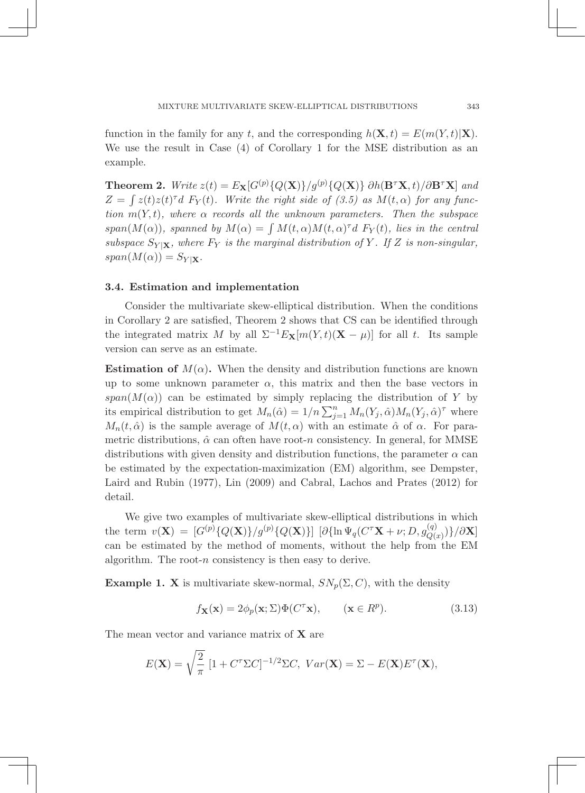function in the family for any *t*, and the corresponding  $h(\mathbf{X}, t) = E(m(Y, t)|\mathbf{X})$ . We use the result in Case (4) of Corollary 1 for the MSE distribution as an example.

**Theorem 2.** *Write*  $z(t) = E_{\mathbf{X}}[G^{(p)}\{Q(\mathbf{X})\}/g^{(p)}\{Q(\mathbf{X})\}\partial h(\mathbf{B}^{\tau}\mathbf{X},t)/\partial \mathbf{B}^{\tau}\mathbf{X}]$  *and*  $Z = \int z(t)z(t)dt \ F_Y(t)$ . Write the right side of (3.5) as  $M(t, \alpha)$  for any func*tion*  $m(Y, t)$ *, where*  $\alpha$  *records all the unknown parameters. Then the subspace*  $span(M(\alpha))$ *, spanned by*  $M(\alpha) = \int M(t, \alpha) M(t, \alpha)^T dF_Y(t)$ *, lies in the central subspace*  $S_{Y|X}$ *, where*  $F_Y$  *is the marginal distribution of Y*. If *Z is non-singular,*  $span(M(\alpha)) = S_{Y|\mathbf{X}}.$ 

### 3.4. Estimation and implementation

Consider the multivariate skew-elliptical distribution. When the conditions in Corollary 2 are satisfied, Theorem 2 shows that CS can be identified through the integrated matrix *M* by all  $\Sigma^{-1}E_X[m(Y,t)(\mathbf{X} - \mu)]$  for all *t*. Its sample version can serve as an estimate.

**Estimation of**  $M(\alpha)$ . When the density and distribution functions are known up to some unknown parameter  $\alpha$ , this matrix and then the base vectors in  $span(M(\alpha))$  can be estimated by simply replacing the distribution of *Y* by its empirical distribution to get  $M_n(\hat{\alpha}) = 1/n \sum_{j=1}^n M_n(Y_j, \hat{\alpha}) M_n(Y_j, \hat{\alpha})^{\tau}$  where  $M_n(t, \hat{\alpha})$  is the sample average of  $M(t, \alpha)$  with an estimate  $\hat{\alpha}$  of  $\alpha$ . For parametric distributions,  $\hat{\alpha}$  can often have root-*n* consistency. In general, for MMSE distributions with given density and distribution functions, the parameter  $\alpha$  can be estimated by the expectation-maximization (EM) algorithm, see Dempster, Laird and Rubin (1977), Lin (2009) and Cabral, Lachos and Prates (2012) for detail.

We give two examples of multivariate skew-elliptical distributions in which the term  $v(\mathbf{X}) = [G^{(p)}\{Q(\mathbf{X})\}/g^{(p)}\{Q(\mathbf{X})\}] [\partial {\ln \Psi_q(C^{\tau} \mathbf{X} + \nu; D, g^{(q)}_{Q(x)})}\}/\partial \mathbf{X}]$ can be estimated by the method of moments, without the help from the EM algorithm. The root-*n* consistency is then easy to derive.

**Example 1. X** is multivariate skew-normal,  $SN_p(\Sigma, C)$ , with the density

$$
f_{\mathbf{X}}(\mathbf{x}) = 2\phi_p(\mathbf{x}; \Sigma) \Phi(C^{\tau} \mathbf{x}), \qquad (\mathbf{x} \in R^p). \tag{3.13}
$$

The mean vector and variance matrix of **X** are

$$
E(\mathbf{X}) = \sqrt{\frac{2}{\pi}} \left[ 1 + C^{\tau} \Sigma C \right]^{-1/2} \Sigma C, \ Var(\mathbf{X}) = \Sigma - E(\mathbf{X}) E^{\tau}(\mathbf{X}),
$$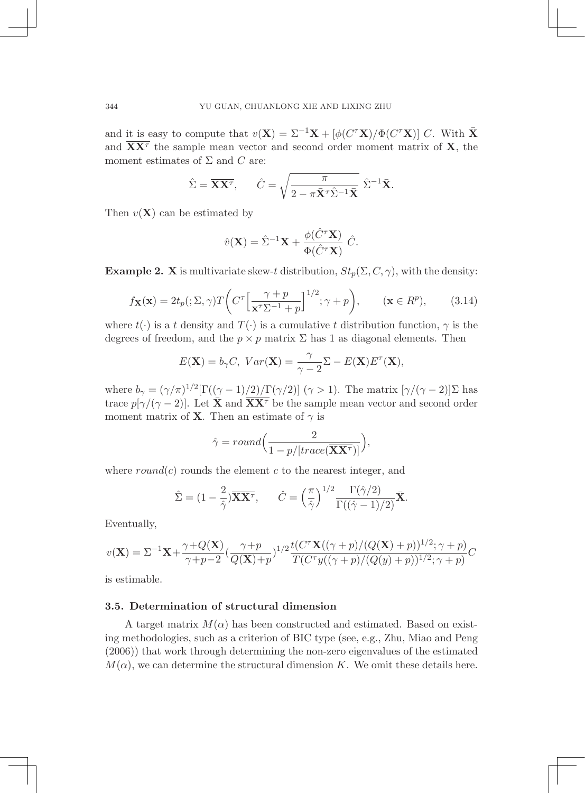and it is easy to compute that  $v(\mathbf{X})=\Sigma^{-1}\mathbf{X} + [\phi(C^{\tau}\mathbf{X})/\Phi(C^{\tau}\mathbf{X})]$  *C*. With  $\bar{\mathbf{X}}$ and  $\overline{XX}$ <sup> $\tau$ </sup> the sample mean vector and second order moment matrix of **X**, the moment estimates of  $\Sigma$  and  $C$  are:

$$
\hat{\Sigma} = \overline{\mathbf{X}\mathbf{X}^{\tau}}, \qquad \hat{C} = \sqrt{\frac{\pi}{2 - \pi \bar{\mathbf{X}}^{\tau} \hat{\Sigma}^{-1} \bar{\mathbf{X}}}} \hat{\Sigma}^{-1} \bar{\mathbf{X}}.
$$

Then  $v(\mathbf{X})$  can be estimated by

$$
\hat{v}(\mathbf{X}) = \hat{\Sigma}^{-1}\mathbf{X} + \frac{\phi(\hat{C}^{\tau}\mathbf{X})}{\Phi(\hat{C}^{\tau}\mathbf{X})} \hat{C}.
$$

**Example 2. X** is multivariate skew-*t* distribution,  $St_p(\Sigma, C, \gamma)$ , with the density:

$$
f_{\mathbf{X}}(\mathbf{x}) = 2t_p(\mathbf{X}, \gamma) T \left( C^{\tau} \left[ \frac{\gamma + p}{\mathbf{x}^{\tau} \Sigma^{-1} + p} \right]^{1/2}; \gamma + p \right), \qquad (\mathbf{x} \in R^p), \qquad (3.14)
$$

where  $t(\cdot)$  is a *t* density and  $T(\cdot)$  is a cumulative *t* distribution function,  $\gamma$  is the degrees of freedom, and the  $p \times p$  matrix  $\Sigma$  has 1 as diagonal elements. Then

$$
E(\mathbf{X}) = b_{\gamma}C, \ Var(\mathbf{X}) = \frac{\gamma}{\gamma - 2} \Sigma - E(\mathbf{X}) E^{\tau}(\mathbf{X}),
$$

where  $b_{\gamma} = (\gamma/\pi)^{1/2} [\Gamma((\gamma - 1)/2)/\Gamma(\gamma/2)] \ (\gamma > 1)$ . The matrix  $[\gamma/(\gamma - 2)]\Sigma$  has trace  $p[\gamma/(\gamma-2)]$ . Let  $\bar{\mathbf{X}}$  and  $\overline{\mathbf{X}}\overline{\mathbf{X}}^T$  be the sample mean vector and second order moment matrix of **X**. Then an estimate of  $\gamma$  is

$$
\hat{\gamma} = round\Big(\frac{2}{1 - p/[trace(\mathbf{\overline{XX}}^{\tau})]}\Big),\,
$$

where  $round(c)$  rounds the element  $c$  to the nearest integer, and

$$
\hat{\Sigma} = (1 - \frac{2}{\hat{\gamma}}) \overline{\mathbf{X} \mathbf{X}^{\tau}}, \quad \hat{C} = \left(\frac{\pi}{\hat{\gamma}}\right)^{1/2} \frac{\Gamma(\hat{\gamma}/2)}{\Gamma((\hat{\gamma} - 1)/2)} \overline{\mathbf{X}}.
$$

Eventually,

$$
v(\mathbf{X}) = \Sigma^{-1}\mathbf{X} + \frac{\gamma + Q(\mathbf{X})}{\gamma + p - 2} \left(\frac{\gamma + p}{Q(\mathbf{X}) + p}\right)^{1/2} \frac{t(C^{\tau}\mathbf{X}((\gamma + p)/(Q(\mathbf{X}) + p))^{1/2}; \gamma + p)}{T(C^{\tau}y((\gamma + p)/(Q(y) + p))^{1/2}; \gamma + p)}C
$$

is estimable.

## 3.5. Determination of structural dimension

A target matrix  $M(\alpha)$  has been constructed and estimated. Based on existing methodologies, such as a criterion of BIC type (see, e.g., Zhu, Miao and Peng (2006)) that work through determining the non-zero eigenvalues of the estimated  $M(\alpha)$ , we can determine the structural dimension *K*. We omit these details here.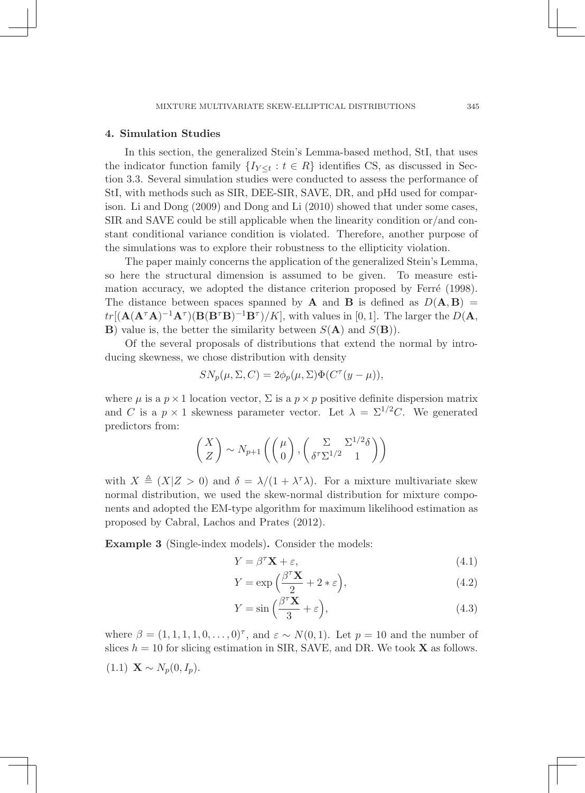### 4. Simulation Studies

In this section, the generalized Stein's Lemma-based method, StI, that uses the indicator function family  $\{I_{Y \leq t} : t \in R\}$  identifies CS, as discussed in Section 3.3. Several simulation studies were conducted to assess the performance of StI, with methods such as SIR, DEE-SIR, SAVE, DR, and pHd used for comparison. Li and Dong (2009) and Dong and Li (2010) showed that under some cases, SIR and SAVE could be still applicable when the linearity condition or/and constant conditional variance condition is violated. Therefore, another purpose of the simulations was to explore their robustness to the ellipticity violation.

The paper mainly concerns the application of the generalized Stein's Lemma, so here the structural dimension is assumed to be given. To measure estimation accuracy, we adopted the distance criterion proposed by Ferré (1998). The distance between spaces spanned by **A** and **B** is defined as  $D(A, B)$  =  $tr[(\mathbf{A}(\mathbf{A}^{\tau}\mathbf{A})^{-1}\mathbf{A}^{\tau})(\mathbf{B}(\mathbf{B}^{\tau}\mathbf{B})^{-1}\mathbf{B}^{\tau})/K]$ , with values in [0, 1]. The larger the  $D(\mathbf{A}, \mathbf{A})$ **B**) value is, the better the similarity between  $S(A)$  and  $S(B)$ .

Of the several proposals of distributions that extend the normal by introducing skewness, we chose distribution with density

$$
SN_p(\mu, \Sigma, C) = 2\phi_p(\mu, \Sigma)\Phi(C^{\tau}(y - \mu)),
$$

where  $\mu$  is a  $p \times 1$  location vector,  $\Sigma$  is a  $p \times p$  positive definite dispersion matrix and *C* is a  $p \times 1$  skewness parameter vector. Let  $\lambda = \Sigma^{1/2}C$ . We generated predictors from:

$$
\begin{pmatrix} X \ Z \end{pmatrix} \sim N_{p+1} \left( \begin{pmatrix} \mu \\ 0 \end{pmatrix}, \begin{pmatrix} \Sigma & \Sigma^{1/2} \delta \\ \delta^{\tau} \Sigma^{1/2} & 1 \end{pmatrix} \right)
$$

with  $X \triangleq (X|Z > 0)$  and  $\delta = \lambda/(1 + \lambda^{\tau}\lambda)$ . For a mixture multivariate skew normal distribution, we used the skew-normal distribution for mixture components and adopted the EM-type algorithm for maximum likelihood estimation as proposed by Cabral, Lachos and Prates (2012).

Example 3 (Single-index models). Consider the models:

$$
Y = \beta^{\tau} \mathbf{X} + \varepsilon,\tag{4.1}
$$

$$
Y = \exp\left(\frac{\beta^{\tau} \mathbf{X}}{2} + 2 * \varepsilon\right),\tag{4.2}
$$

$$
Y = \sin\left(\frac{\beta^{\tau} \mathbf{X}}{3} + \varepsilon\right),\tag{4.3}
$$

where  $\beta = (1, 1, 1, 1, 0, \ldots, 0)^{\tau}$ , and  $\varepsilon \sim N(0, 1)$ . Let  $p = 10$  and the number of slices  $h = 10$  for slicing estimation in SIR, SAVE, and DR. We took **X** as follows.

 $(1.1)$  **X**  $\sim N_p(0, I_p)$ .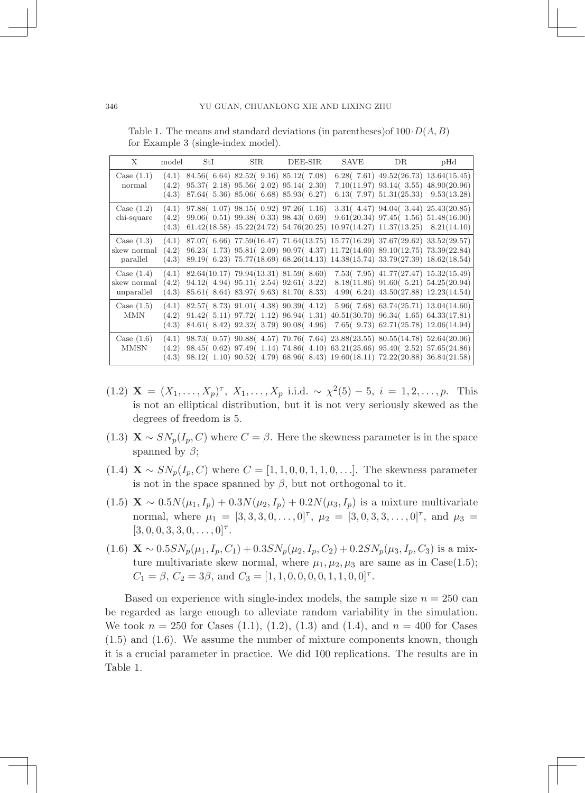Table 1. The means and standard deviations (in parentheses)of 100*·D*(*A, B*) for Example 3 (single-index model).

| X                                         | model          | StI                                                  | $\rm SIR$                                                                        | DEE-SIR                                                                                                                                                                                                                                                                                                                       | SAVE | DR <sub>a</sub>                                                                                                                       | pHd |
|-------------------------------------------|----------------|------------------------------------------------------|----------------------------------------------------------------------------------|-------------------------------------------------------------------------------------------------------------------------------------------------------------------------------------------------------------------------------------------------------------------------------------------------------------------------------|------|---------------------------------------------------------------------------------------------------------------------------------------|-----|
| Case $(1.1)$<br>normal                    | (4.2)<br>(4.3) | $(4.1)$ 84.56 $(6.64)$ 82.52 $(9.16)$ 85.12 $(7.08)$ | $95.37(2.18)$ $95.56(2.02)$ $95.14(2.30)$<br>87.64(5.36) 85.06(6.68) 85.93(6.27) |                                                                                                                                                                                                                                                                                                                               |      | $6.28(7.61)$ $49.52(26.73)$ $13.64(15.45)$<br>$7.10(11.97)$ $93.14(3.55)$ $48.90(20.96)$<br>$6.13(7.97)$ $51.31(25.33)$ $9.53(13.28)$ |     |
| Case $(1.2)$<br>chi-square                | (4.2)<br>(4.3) |                                                      |                                                                                  | $(4.1)$ 97.88 $(1.07)$ 98.15 $(0.92)$ 97.26 $(1.16)$<br>99.06(0.51) 99.38(0.33) 98.43(0.69) 9.61(20.34) 97.45(1.56) 51.48(16.00)<br>$61.42(18.58)$ $45.22(24.72)$ $54.76(20.25)$ $10.97(14.27)$ $11.37(13.25)$ $8.21(14.10)$                                                                                                  |      | $3.31(4.47)$ 94.04( $3.44$ ) 25.43(20.85)                                                                                             |     |
| Case $(1.3)$<br>skew normal<br>parallel   | (4.2)          |                                                      |                                                                                  | $(4.1)$ 87.07 $(6.66)$ 77.59 $(16.47)$ 71.64 $(13.75)$ 15.77 $(16.29)$ 37.67 $(29.62)$ 33.52 $(29.57)$<br>96.23(1.73) 95.81(2.09) 90.97(4.37) 11.72(14.60) 89.10(12.75) 73.39(22.84)<br>$(4.3)$ 89.19 $(6.23)$ 75.77 $(18.69)$ 68.26 $(14.13)$ 14.38 $(15.74)$ 33.79 $(27.39)$ 18.62 $(18.54)$                                |      |                                                                                                                                       |     |
| Case $(1.4)$<br>skew normal<br>unparallel | (4.2)<br>(4.3) |                                                      |                                                                                  | $(4.1)$ 82.64 $(10.17)$ 79.94 $(13.31)$ 81.59 $(8.60)$ 7.53 $(7.95)$ 41.77 $(27.47)$ 15.32 $(15.49)$<br>94.12(4.94) 95.11(2.54) 92.61(3.22) 8.18(11.86) 91.60(5.21) 54.25(20.94)<br>85.61 (8.64) 83.97 (9.63) 81.70 (8.33)                                                                                                    |      | $4.99(6.24)$ $43.50(27.88)$ $12.23(14.54)$                                                                                            |     |
| Case $(1.5)$<br><b>MMN</b>                | (4.2)<br>(4.3) |                                                      |                                                                                  | $(4.1)$ 82.57(8.73) 91.01(4.38) 90.39(4.12) 5.96(7.68) 63.74(25.71) 13.04(14.60)<br>$91.42(5.11)$ $97.72(1.12)$ $96.94(1.31)$ $40.51(30.70)$ $96.34(1.65)$ $64.33(17.81)$<br>84.61(8.42) 92.32(3.79) 90.08(4.96) 7.65(9.73) 62.71(25.78) 12.06(14.94)                                                                         |      |                                                                                                                                       |     |
| Case $(1.6)$<br><b>MMSN</b>               | (4.2)          |                                                      |                                                                                  | $(4.1)$ 98.73( 0.57) 90.88( 4.57) 70.76( 7.64) 23.88(23.55) 80.55(14.78) 52.64(20.06)<br>98.45(0.62) 97.49(1.14) 74.86(4.10) 63.21(25.66) 95.40(2.52) 57.65(24.86)<br>$(4.3) \quad 98.12 \\ ( \ 1.10) \quad 90.52 \\ ( \ 4.79) \quad 68.96 \\ ( \ 8.43) \quad 19.60 \\ (18.11) \quad 72.22 \\ (20.88) \quad 36.84 \\ (21.58)$ |      |                                                                                                                                       |     |

- $(1.2)$  **X** =  $(X_1, ..., X_p)^\tau$ ,  $X_1, ..., X_p$  i.i.d.  $\sim \chi^2(5) 5$ ,  $i = 1, 2, ..., p$ . This is not an elliptical distribution, but it is not very seriously skewed as the degrees of freedom is 5.
- (1.3)  $\mathbf{X} \sim SN_p(I_p, C)$  where  $C = \beta$ . Here the skewness parameter is in the space spanned by  $\beta$ ;
- (1.4)  $\mathbf{X} \sim SN_p(I_p, C)$  where  $C = [1, 1, 0, 0, 1, 1, 0, \ldots]$ . The skewness parameter is not in the space spanned by  $\beta$ , but not orthogonal to it.
- (1.5) **X** ∼ 0*.*5*N*( $\mu_1, I_p$ ) + 0*.*3*N*( $\mu_2, I_p$ ) + 0*.*2*N*( $\mu_3, I_p$ ) is a mixture multivariate normal, where  $\mu_1 = [3, 3, 3, 0, \ldots, 0]^{\tau}$ ,  $\mu_2 = [3, 0, 3, 3, \ldots, 0]^{\tau}$ , and  $\mu_3 =$  $[3, 0, 0, 3, 3, 0, \ldots, 0]^\tau$ .
- $(1.6)$   $\mathbf{X} \sim 0.5SN_p(\mu_1, I_p, C_1) + 0.3SN_p(\mu_2, I_p, C_2) + 0.2SN_p(\mu_3, I_p, C_3)$  is a mixture multivariate skew normal, where  $\mu_1, \mu_2, \mu_3$  are same as in Case(1.5);  $C_1 = \beta$ ,  $C_2 = 3\beta$ , and  $C_3 = [1, 1, 0, 0, 0, 0, 1, 1, 0, 0]^{\tau}$ .

Based on experience with single-index models, the sample size  $n = 250$  can be regarded as large enough to alleviate random variability in the simulation. We took  $n = 250$  for Cases  $(1.1)$ ,  $(1.2)$ ,  $(1.3)$  and  $(1.4)$ , and  $n = 400$  for Cases (1.5) and (1.6). We assume the number of mixture components known, though it is a crucial parameter in practice. We did 100 replications. The results are in Table 1.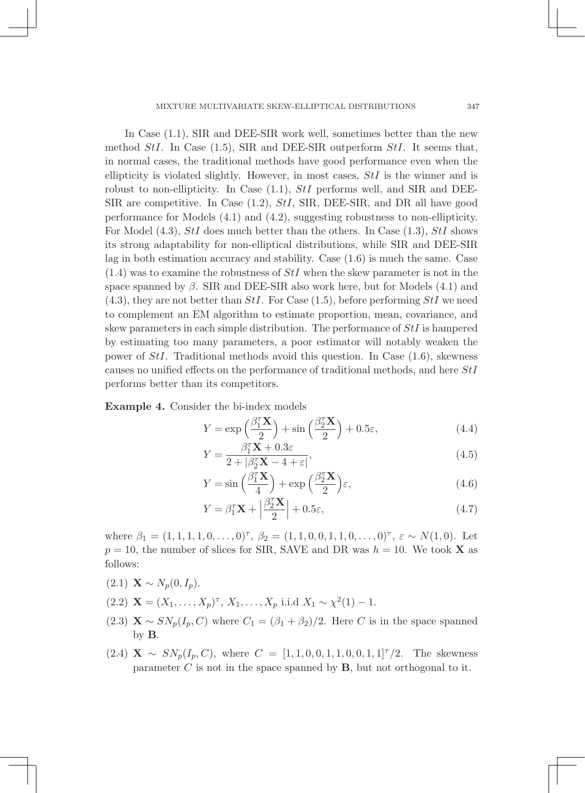### MIXTURE MULTIVARIATE SKEW-ELLIPTICAL DISTRIBUTIONS 13

In Case (1.1), SIR and DEE-SIR work well, sometimes better than the new method *StI*. In Case (1.5), SIR and DEE-SIR outperform *StI*. It seems that, in normal cases, the traditional methods have good performance even when the ellipticity is violated slightly. However, in most cases, *StI* is the winner and is robust to non-ellipticity. In Case (1.1), *StI* performs well, and SIR and DEE-SIR are competitive. In Case (1.2), *StI*, SIR, DEE-SIR, and DR all have good performance for Models (4.1) and (4.2), suggesting robustness to non-ellipticity. For Model (4.3), *StI* does much better than the others. In Case (1.3), *StI* shows its strong adaptability for non-elliptical distributions, while SIR and DEE-SIR lag in both estimation accuracy and stability. Case (1.6) is much the same. Case (1.4) was to examine the robustness of *StI* when the skew parameter is not in the space spanned by  $\beta$ . SIR and DEE-SIR also work here, but for Models (4.1) and (4.3), they are not better than *StI*. For Case (1.5), before performing *StI* we need to complement an EM algorithm to estimate proportion, mean, covariance, and skew parameters in each simple distribution. The performance of *StI* is hampered by estimating too many parameters, a poor estimator will notably weaken the power of *StI*. Traditional methods avoid this question. In Case (1.6), skewness causes no unified effects on the performance of traditional methods, and here *StI* performs better than its competitors.

Example 4. Consider the bi-index models

$$
Y = \exp\left(\frac{\beta_1^T \mathbf{X}}{2}\right) + \sin\left(\frac{\beta_2^T \mathbf{X}}{2}\right) + 0.5\varepsilon,\tag{4.4}
$$

$$
Y = \frac{\beta_1^{\tau} \mathbf{X} + 0.3\varepsilon}{2 + |\beta_2^{\tau} \mathbf{X} - 4 + \varepsilon|},\tag{4.5}
$$

$$
Y = \sin\left(\frac{\beta_1^T \mathbf{X}}{4}\right) + \exp\left(\frac{\beta_2^T \mathbf{X}}{2}\right)\varepsilon,\tag{4.6}
$$

$$
Y = \beta_1^{\tau} \mathbf{X} + \left| \frac{\beta_2^{\tau} \mathbf{X}}{2} \right| + 0.5 \varepsilon,
$$
\n(4.7)

where  $\beta_1 = (1, 1, 1, 1, 0, \dots, 0)^{\tau}$ ,  $\beta_2 = (1, 1, 0, 0, 1, 1, 0, \dots, 0)^{\tau}$ ,  $\varepsilon \sim N(1, 0)$ . Let  $p = 10$ , the number of slices for SIR, SAVE and DR was  $h = 10$ . We took **X** as follows:

- $(2.1)$  **X**  $\sim N_p(0, I_p)$ .
- (2.2)  $\mathbf{X} = (X_1, \ldots, X_p)^{\tau}, X_1, \ldots, X_p$  i.i.d  $X_1 \sim \chi^2(1) 1$ .
- (2.3)  $\mathbf{X} \sim SN_p(I_p, C)$  where  $C_1 = (\beta_1 + \beta_2)/2$ . Here *C* is in the space spanned by B.
- $(2.4)$  **X**  $\sim SN_p(I_p, C)$ , where  $C = [1, 1, 0, 0, 1, 1, 0, 0, 1, 1]^T/2$ . The skewness parameter  $C$  is not in the space spanned by  $B$ , but not orthogonal to it.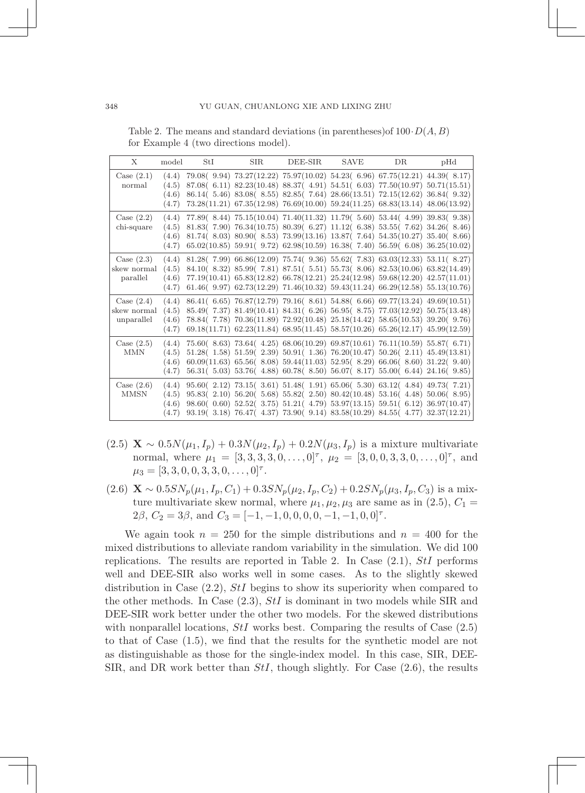Table 2. The means and standard deviations (in parentheses)of 100*·D*(*A, B*) for Example 4 (two directions model).

| X                                         | model                            | StI | <b>SIR</b> | DEE-SIR | SAVE | DR.                                                                                                                                                                                                                                                                                                                                               | pHd                                                                                                                                                                                                                                                      |
|-------------------------------------------|----------------------------------|-----|------------|---------|------|---------------------------------------------------------------------------------------------------------------------------------------------------------------------------------------------------------------------------------------------------------------------------------------------------------------------------------------------------|----------------------------------------------------------------------------------------------------------------------------------------------------------------------------------------------------------------------------------------------------------|
| Case $(2.1)$<br>normal                    | (4.4)<br>(4.5)<br>(4.6)<br>(4.7) |     |            |         |      | 79.08( 9.94) 73.27(12.22) 75.97(10.02) 54.23( 6.96) 67.75(12.21) 44.39( 8.17)<br>$87.08(6.11)$ $82.23(10.48)$ $88.37(4.91)$ $54.51(6.03)$ $77.50(10.97)$ $50.71(15.51)$<br>86.14(5.46) 83.08(8.55) 82.85(7.64) 28.66(13.51) 72.15(12.62) 36.84(9.32)<br>$73.28(11.21)$ $67.35(12.98)$ $76.69(10.00)$ $59.24(11.25)$ $68.83(13.14)$ $48.06(13.92)$ |                                                                                                                                                                                                                                                          |
| Case $(2.2)$<br>chi-square                | (4.4)<br>(4.5)<br>(4.6)<br>(4.7) |     |            |         |      | 77.89(8.44) 75.15(10.04) 71.40(11.32) 11.79(5.60) 53.44(4.99) 39.83(9.38)<br>81.83(7.90) 76.34(10.75) 80.39(6.27) 11.12(6.38) 53.55(7.62) 34.26(8.46)<br>$81.74(8.03) 80.90(8.53) 73.99(13.16) 13.87(7.64) 54.35(10.27) 35.40(8.66)$<br>$65.02(10.85)$ 59.91( $9.72$ ) $62.98(10.59)$ $16.38$ ( $7.40$ ) $56.59$ ( $6.08$ ) $36.25(10.02)$        |                                                                                                                                                                                                                                                          |
| Case $(2.3)$<br>skew normal<br>parallel   | (4.4)<br>(4.5)<br>(4.6)<br>(4.7) |     |            |         |      | 81.28(7.99) 66.86(12.09) 75.74(9.36) 55.62(7.83) 63.03(12.33) 53.11(8.27)<br>84.10(8.32) 85.99(7.81) 87.51(5.51) 55.73(8.06) 82.53(10.06) 63.82(14.49)<br>77.19(10.41) 65.83(12.82) 66.78(12.21) 25.24(12.98) 59.68(12.20) 42.57(11.01)<br>61.46( $9.97$ ) 62.73(12.29) 71.46(10.32) 59.43(11.24) 66.29(12.58) 55.13(10.76)                       |                                                                                                                                                                                                                                                          |
| Case $(2.4)$<br>skew normal<br>unparallel | (4.4)<br>(4.5)<br>(4.6)<br>(4.7) |     |            |         |      | 86.41(6.65) 76.87(12.79) 79.16(8.61) 54.88(6.66) 69.77(13.24) 49.69(10.51)<br>85.49(7.37) 81.49(10.41) 84.31(6.26) 56.95(8.75) 77.03(12.92) 50.75(13.48)<br>78.84(7.78) 70.36(11.89) 72.92(10.48) 25.18(14.42) 58.65(10.53) 39.20(9.76)<br>$69.18(11.71)$ $62.23(11.84)$ $68.95(11.45)$ $58.57(10.26)$ $65.26(12.17)$ $45.99(12.59)$              |                                                                                                                                                                                                                                                          |
| Case $(2.5)$<br>MMN                       | (4.4)<br>(4.5)<br>(4.6)<br>(4.7) |     |            |         |      | 75.60(8.63) 73.64(4.25) 68.06(10.29) 69.87(10.61) 76.11(10.59) 55.87(6.71)<br>$51.28($ 1.58) $51.59($ 2.39) $50.91($ 1.36) $76.20(10.47)$ $50.26($ 2.11) $45.49(13.81)$<br>$60.09(11.63)$ $65.56(8.08)$ $59.44(11.03)$ $52.95(8.29)$ $66.06(8.60)$ $31.22(9.40)$<br>56.31 (5.03) 53.76 (4.88) 60.78 (8.50) 56.07 (8.17) 55.00 (6.44) 24.16 (9.85) |                                                                                                                                                                                                                                                          |
| Case $(2.6)$<br><b>MMSN</b>               | (4.4)<br>(4.5)<br>(4.6)<br>(4.7) |     |            |         |      | 95.60(2.12) 73.15(3.61) 51.48(1.91) 65.06(5.30) 63.12(4.84) 49.73(7.21)                                                                                                                                                                                                                                                                           | $95.83(2.10)$ $56.20(5.68)$ $55.82(2.50)$ $80.42(10.48)$ $53.16(4.48)$ $50.06(8.95)$<br>98.60( 0.60) 52.52( 3.75) 51.21( 4.79) 53.97(13.15) 59.51( 6.12) 36.97(10.47)<br>93.19 (3.18) 76.47 (4.37) 73.90 (9.14) 83.58 (10.29) 84.55 (4.77) 32.37 (12.21) |

- (2.5) **X** ∼ 0*.*5*N*( $\mu_1, I_p$ ) + 0*.*3*N*( $\mu_2, I_p$ ) + 0*.*2*N*( $\mu_3, I_p$ ) is a mixture multivariate normal, where  $\mu_1 = [3, 3, 3, 3, 0, \ldots, 0]^{\tau}$ ,  $\mu_2 = [3, 0, 0, 3, 3, 0, \ldots, 0]^{\tau}$ , and  $\mu_3 = [3, 3, 0, 0, 3, 3, 0, \ldots, 0]^{\tau}$ .
- $(2.6)$  **X** ~  $0.5SN_p(\mu_1, I_p, C_1) + 0.3SN_p(\mu_2, I_p, C_2) + 0.2SN_p(\mu_3, I_p, C_3)$  is a mixture multivariate skew normal, where  $\mu_1, \mu_2, \mu_3$  are same as in (2.5),  $C_1 =$ 2 $\beta$ ,  $C_2 = 3\beta$ , and  $C_3 = [-1, -1, 0, 0, 0, 0, -1, -1, 0, 0]^{\tau}$ .

We again took  $n = 250$  for the simple distributions and  $n = 400$  for the mixed distributions to alleviate random variability in the simulation. We did 100 replications. The results are reported in Table 2. In Case (2.1), *StI* performs well and DEE-SIR also works well in some cases. As to the slightly skewed distribution in Case (2.2), *StI* begins to show its superiority when compared to the other methods. In Case (2.3), *StI* is dominant in two models while SIR and DEE-SIR work better under the other two models. For the skewed distributions with nonparallel locations, *StI* works best. Comparing the results of Case  $(2.5)$ to that of Case (1.5), we find that the results for the synthetic model are not as distinguishable as those for the single-index model. In this case, SIR, DEE-SIR, and DR work better than *StI*, though slightly. For Case (2.6), the results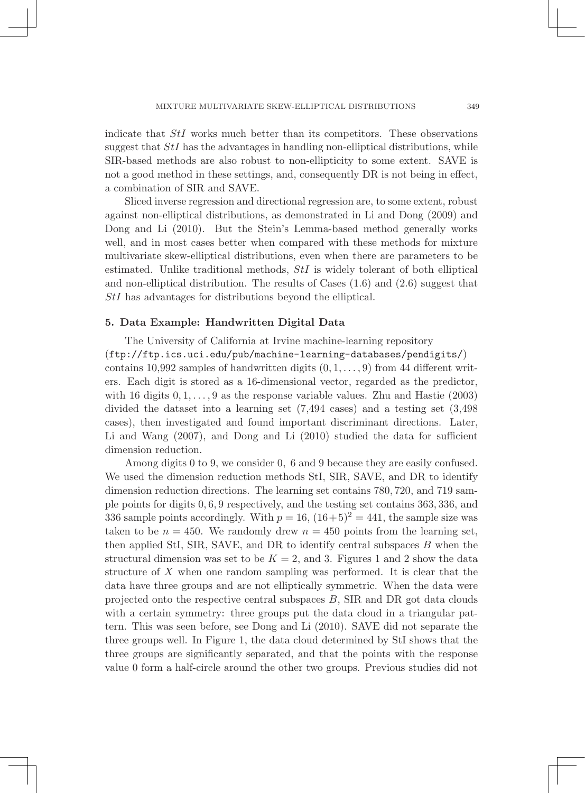indicate that *StI* works much better than its competitors. These observations suggest that *StI* has the advantages in handling non-elliptical distributions, while SIR-based methods are also robust to non-ellipticity to some extent. SAVE is not a good method in these settings, and, consequently DR is not being in effect, a combination of SIR and SAVE.

Sliced inverse regression and directional regression are, to some extent, robust against non-elliptical distributions, as demonstrated in Li and Dong (2009) and Dong and Li (2010). But the Stein's Lemma-based method generally works well, and in most cases better when compared with these methods for mixture multivariate skew-elliptical distributions, even when there are parameters to be estimated. Unlike traditional methods, *StI* is widely tolerant of both elliptical and non-elliptical distribution. The results of Cases (1.6) and (2.6) suggest that *StI* has advantages for distributions beyond the elliptical.

### 5. Data Example: Handwritten Digital Data

The University of California at Irvine machine-learning repository (ftp://ftp.ics.uci.edu/pub/machine-learning-databases/pendigits/) contains 10,992 samples of handwritten digits (0*,* 1*,...,* 9) from 44 different writers. Each digit is stored as a 16-dimensional vector, regarded as the predictor, with 16 digits 0*,* 1*,...,* 9 as the response variable values. Zhu and Hastie (2003) divided the dataset into a learning set (7,494 cases) and a testing set (3,498 cases), then investigated and found important discriminant directions. Later, Li and Wang (2007), and Dong and Li (2010) studied the data for sufficient dimension reduction.

Among digits 0 to 9, we consider 0*,* 6 and 9 because they are easily confused. We used the dimension reduction methods StI, SIR, SAVE, and DR to identify dimension reduction directions. The learning set contains 780*,* 720, and 719 sample points for digits 0*,* 6*,* 9 respectively, and the testing set contains 363*,* 336, and 336 sample points accordingly. With  $p = 16$ ,  $(16+5)^2 = 441$ , the sample size was taken to be  $n = 450$ . We randomly drew  $n = 450$  points from the learning set, then applied StI, SIR, SAVE, and DR to identify central subspaces *B* when the structural dimension was set to be  $K = 2$ , and 3. Figures 1 and 2 show the data structure of *X* when one random sampling was performed. It is clear that the data have three groups and are not elliptically symmetric. When the data were projected onto the respective central subspaces *B*, SIR and DR got data clouds with a certain symmetry: three groups put the data cloud in a triangular pattern. This was seen before, see Dong and Li (2010). SAVE did not separate the three groups well. In Figure 1, the data cloud determined by StI shows that the three groups are significantly separated, and that the points with the response value 0 form a half-circle around the other two groups. Previous studies did not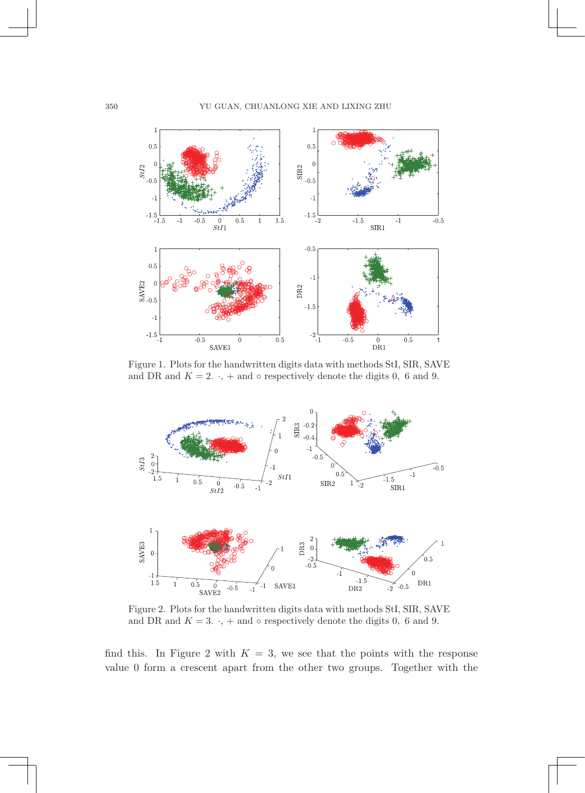

Figure 1. Plots for the handwritten digits data with methods StI, SIR, SAVE and DR and  $K = 2$ .  $\cdot$ , + and  $\circ$  respectively denote the digits 0, 6 and 9.



Figure 2. Plots for the handwritten digits data with methods StI, SIR, SAVE and DR and  $K = 3$ .  $\cdot$ , + and  $\circ$  respectively denote the digits 0, 6 and 9.

find this. In Figure 2 with  $K = 3$ , we see that the points with the response value 0 form a crescent apart from the other two groups. Together with the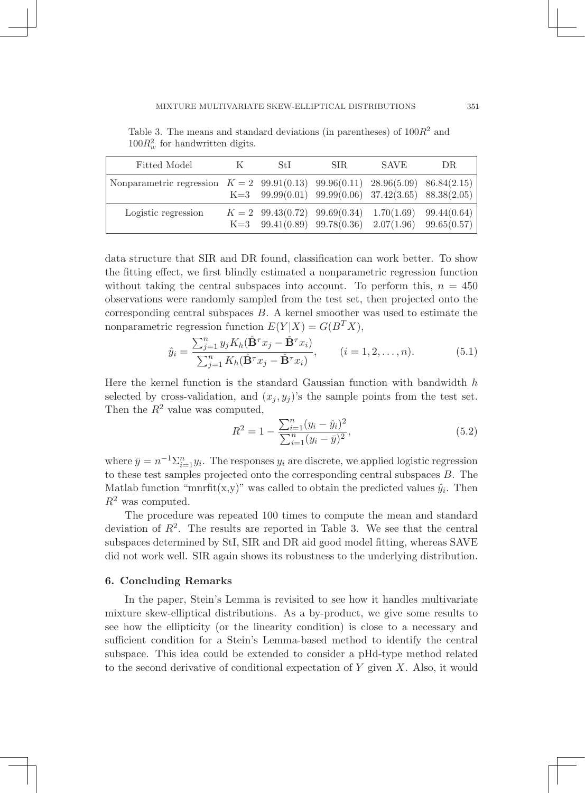Table 3. The means and standard deviations (in parentheses) of 100*R*<sup>2</sup> and  $100R_w^2$  for handwritten digits.

| Fitted Model                                                                     | St I | SIR. | <b>SAVE</b> | DR.                                                                                                                  |
|----------------------------------------------------------------------------------|------|------|-------------|----------------------------------------------------------------------------------------------------------------------|
| Nonparametric regression $K = 2$ 99.91(0.13) 99.96(0.11) 28.96(5.09) 86.84(2.15) |      |      |             | K=3 $99.99(0.01)$ $99.99(0.06)$ $37.42(3.65)$ $88.38(2.05)$                                                          |
| Logistic regression                                                              |      |      |             | $K = 2$ 99.43(0.72) 99.69(0.34) 1.70(1.69) 99.44(0.64)<br>K=3 $99.41(0.89)$ $99.78(0.36)$ $2.07(1.96)$ $99.65(0.57)$ |

data structure that SIR and DR found, classification can work better. To show the fitting effect, we first blindly estimated a nonparametric regression function without taking the central subspaces into account. To perform this,  $n = 450$ observations were randomly sampled from the test set, then projected onto the corresponding central subspaces *B*. A kernel smoother was used to estimate the nonparametric regression function  $E(Y|X) = G(B^T X)$ ,

$$
\hat{y}_i = \frac{\sum_{j=1}^n y_j K_h(\hat{\mathbf{B}}^\tau x_j - \hat{\mathbf{B}}^\tau x_i)}{\sum_{j=1}^n K_h(\hat{\mathbf{B}}^\tau x_j - \hat{\mathbf{B}}^\tau x_i)}, \qquad (i = 1, 2, \dots, n). \tag{5.1}
$$

Here the kernel function is the standard Gaussian function with bandwidth *h* selected by cross-validation, and  $(x_j, y_j)$ 's the sample points from the test set. Then the  $R^2$  value was computed,

$$
R^{2} = 1 - \frac{\sum_{i=1}^{n} (y_{i} - \hat{y}_{i})^{2}}{\sum_{i=1}^{n} (y_{i} - \bar{y})^{2}},
$$
\n(5.2)

where  $\bar{y} = n^{-1} \sum_{i=1}^{n} y_i$ . The responses  $y_i$  are discrete, we applied logistic regression to these test samples projected onto the corresponding central subspaces *B*. The Matlab function "mnrfit(x,y)" was called to obtain the predicted values  $\hat{y}_i$ . Then *R*<sup>2</sup> was computed.

The procedure was repeated 100 times to compute the mean and standard deviation of  $R<sup>2</sup>$ . The results are reported in Table 3. We see that the central subspaces determined by StI, SIR and DR aid good model fitting, whereas SAVE did not work well. SIR again shows its robustness to the underlying distribution.

### 6. Concluding Remarks

In the paper, Stein's Lemma is revisited to see how it handles multivariate mixture skew-elliptical distributions. As a by-product, we give some results to see how the ellipticity (or the linearity condition) is close to a necessary and sufficient condition for a Stein's Lemma-based method to identify the central subspace. This idea could be extended to consider a pHd-type method related to the second derivative of conditional expectation of *Y* given *X*. Also, it would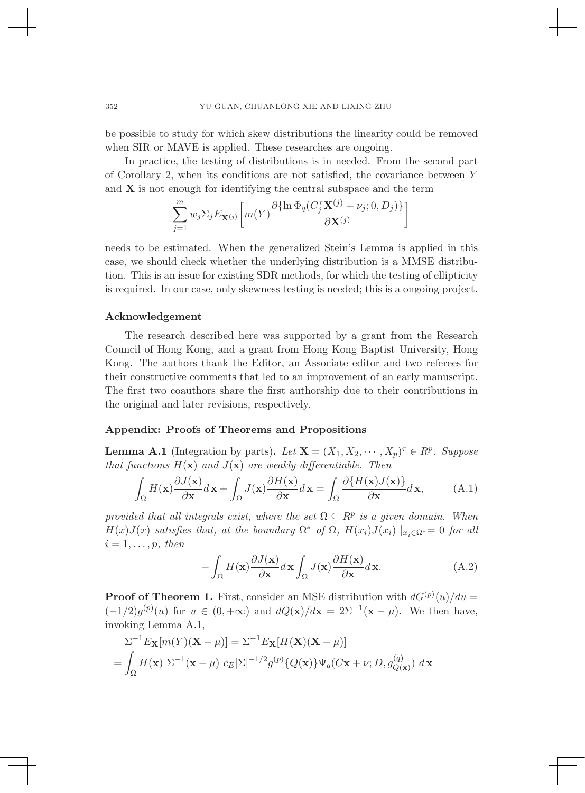be possible to study for which skew distributions the linearity could be removed when SIR or MAVE is applied. These researches are ongoing.

In practice, the testing of distributions is in needed. From the second part of Corollary 2, when its conditions are not satisfied, the covariance between *Y* and  $X$  is not enough for identifying the central subspace and the term

$$
\sum_{j=1}^{m} w_j \Sigma_j E_{\mathbf{X}^{(j)}} \bigg[ m(Y) \frac{\partial {\{\ln \Phi_q(C_j^{\tau} \mathbf{X}^{(j)} + \nu_j; 0, D_j)\}}}{\partial \mathbf{X}^{(j)}} \bigg]
$$

needs to be estimated. When the generalized Stein's Lemma is applied in this case, we should check whether the underlying distribution is a MMSE distribution. This is an issue for existing SDR methods, for which the testing of ellipticity is required. In our case, only skewness testing is needed; this is a ongoing project.

### Acknowledgement

The research described here was supported by a grant from the Research Council of Hong Kong, and a grant from Hong Kong Baptist University, Hong Kong. The authors thank the Editor, an Associate editor and two referees for their constructive comments that led to an improvement of an early manuscript. The first two coauthors share the first authorship due to their contributions in the original and later revisions, respectively.

### Appendix: Proofs of Theorems and Propositions

**Lemma A.1** (Integration by parts). Let  $\mathbf{X} = (X_1, X_2, \dots, X_p)^\tau \in R^p$ . Suppose *that functions*  $H(\mathbf{x})$  *and*  $J(\mathbf{x})$  *are weakly differentiable. Then* 

$$
\int_{\Omega} H(\mathbf{x}) \frac{\partial J(\mathbf{x})}{\partial \mathbf{x}} d\mathbf{x} + \int_{\Omega} J(\mathbf{x}) \frac{\partial H(\mathbf{x})}{\partial \mathbf{x}} d\mathbf{x} = \int_{\Omega} \frac{\partial \{H(\mathbf{x}) J(\mathbf{x})\}}{\partial \mathbf{x}} d\mathbf{x},\tag{A.1}
$$

*provided that all integrals exist, where the set*  $\Omega \subseteq R^p$  *is a given domain. When H*(*x*)*J*(*x*) *satisfies that, at the boundary*  $\Omega^*$  *of*  $\Omega$ *, H*(*x*<sub>*i*</sub>)*J*(*x*<sub>*i*</sub>)  $|_{x_i \in \Omega^*} = 0$  *for all*  $i = 1, \ldots, p$ *, then* 

$$
-\int_{\Omega} H(\mathbf{x}) \frac{\partial J(\mathbf{x})}{\partial \mathbf{x}} d\mathbf{x} \int_{\Omega} J(\mathbf{x}) \frac{\partial H(\mathbf{x})}{\partial \mathbf{x}} d\mathbf{x}.
$$
 (A.2)

**Proof of Theorem 1.** First, consider an MSE distribution with  $dG^{(p)}(u)/du =$  $(-1/2)g^{(p)}(u)$  for  $u \in (0, +\infty)$  and  $dQ(\mathbf{x})/d\mathbf{x} = 2\Sigma^{-1}(\mathbf{x} - \mu)$ . We then have, invoking Lemma A.1,

$$
\Sigma^{-1} E_{\mathbf{X}}[m(Y)(\mathbf{X} - \mu)] = \Sigma^{-1} E_{\mathbf{X}}[H(\mathbf{X})(\mathbf{X} - \mu)]
$$
  
= 
$$
\int_{\Omega} H(\mathbf{x}) \Sigma^{-1}(\mathbf{x} - \mu) c_E |\Sigma|^{-1/2} g^{(p)} \{Q(\mathbf{x})\} \Psi_q(C\mathbf{x} + \nu; D, g^{(q)}_{Q(\mathbf{x})}) d\mathbf{x}
$$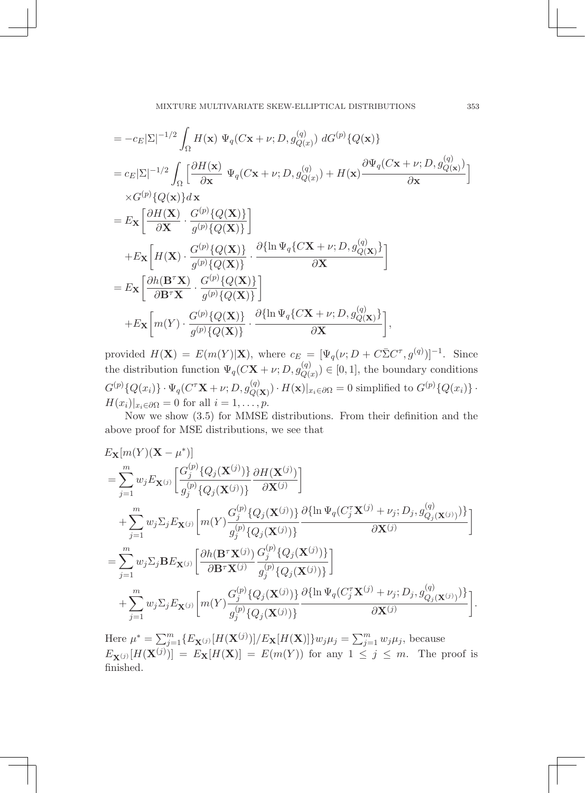MIXTURE MULTIVARIATE SKEW-ELLIPTICAL DISTRIBUTIONS

$$
= -c_E|\Sigma|^{-1/2} \int_{\Omega} H(\mathbf{x}) \Psi_q(C\mathbf{x} + \nu; D, g_{Q(x)}^{(q)}) dG^{(p)}\{Q(\mathbf{x})\}
$$
  
\n
$$
= c_E|\Sigma|^{-1/2} \int_{\Omega} \left[ \frac{\partial H(\mathbf{x})}{\partial \mathbf{x}} \Psi_q(C\mathbf{x} + \nu; D, g_{Q(x)}^{(q)}) + H(\mathbf{x}) \frac{\partial \Psi_q(C\mathbf{x} + \nu; D, g_{Q(\mathbf{x})}^{(q)})}{\partial \mathbf{x}} \right]
$$
  
\n
$$
\times G^{(p)}\{Q(\mathbf{x})\} d\mathbf{x}
$$
  
\n
$$
= E_{\mathbf{X}} \left[ \frac{\partial H(\mathbf{X})}{\partial \mathbf{X}} \cdot \frac{G^{(p)}\{Q(\mathbf{X})\}}{g^{(p)}\{Q(\mathbf{X})\}} \right]
$$
  
\n
$$
+ E_{\mathbf{X}} \left[ H(\mathbf{X}) \cdot \frac{G^{(p)}\{Q(\mathbf{X})\}}{g^{(p)}\{Q(\mathbf{X})\}} \cdot \frac{\partial \{\ln \Psi_q(C\mathbf{X} + \nu; D, g_{Q(\mathbf{X})}^{(q)})\}}{\partial \mathbf{X}} \right]
$$
  
\n
$$
= E_{\mathbf{X}} \left[ \frac{\partial h(\mathbf{B}^T \mathbf{X})}{\partial \mathbf{B}^T \mathbf{X}} \cdot \frac{G^{(p)}\{Q(\mathbf{X})\}}{g^{(p)}\{Q(\mathbf{X})\}} \right]
$$
  
\n
$$
+ E_{\mathbf{X}} \left[ m(Y) \cdot \frac{G^{(p)}\{Q(\mathbf{X})\}}{g^{(p)}\{Q(\mathbf{X})\}} \cdot \frac{\partial \{\ln \Psi_q(C\mathbf{X} + \nu; D, g_{Q(\mathbf{X})}^{(q)})\}}{\partial \mathbf{X}} \right],
$$

provided  $H(\mathbf{X}) = E(m(Y)|\mathbf{X})$ , where  $c_E = [\Psi_q(\nu; D + C\overline{\Sigma}C^{\tau}, g^{(q)})]^{-1}$ . Since the distribution function  $\Psi_q(C\mathbf{X} + \nu; D, g_{Q(x)}^{(q)}) \in [0, 1]$ , the boundary conditions  $G^{(p)}\{Q(x_i)\}\cdot\Psi_q(C^{\tau}\mathbf{X}+\nu;D,g^{(q)}_{Q(\mathbf{X})})\cdot H(\mathbf{x})|_{x_i\in\partial\Omega}=0$  simplified to  $G^{(p)}\{Q(x_i)\}\cdot$  $H(x_i)|_{x_i \in \partial \Omega} = 0$  for all  $i = 1, \ldots, p$ .

Now we show (3.5) for MMSE distributions. From their definition and the above proof for MSE distributions, we see that

$$
\begin{split} &E_{\mathbf{X}}[m(Y)(\mathbf{X}-\mu^{*})] \\ &= \sum_{j=1}^{m} w_{j} E_{\mathbf{X}^{(j)}} \bigg[ \frac{G_{j}^{(p)} \{ Q_{j}(\mathbf{X}^{(j)}) \} }{g_{j}^{(p)} \{ Q_{j}(\mathbf{X}^{(j)}) \} } \frac{\partial H(\mathbf{X}^{(j)})}{\partial \mathbf{X}^{(j)}} \bigg] \\ &+ \sum_{j=1}^{m} w_{j} \Sigma_{j} E_{\mathbf{X}^{(j)}} \bigg[ m(Y) \frac{G_{j}^{(p)} \{ Q_{j}(\mathbf{X}^{(j)}) \} }{g_{j}^{(p)} \{ Q_{j}(\mathbf{X}^{(j)}) \} } \frac{\partial \{\ln \Psi_{q}(C_{j}^{\tau} \mathbf{X}^{(j)} + \nu_{j}; D_{j}, g_{Q_{j}(\mathbf{X}^{(j)})}) \} }{\partial \mathbf{X}^{(j)}} \bigg] \\ &= \sum_{j=1}^{m} w_{j} \Sigma_{j} \mathbf{B} E_{\mathbf{X}^{(j)}} \bigg[ \frac{\partial h(\mathbf{B}^{\tau} \mathbf{X}^{(j)})}{\partial \mathbf{B}^{\tau} \mathbf{X}^{(j)}} \frac{G_{j}^{(p)} \{ Q_{j}(\mathbf{X}^{(j)}) \} }{g_{j}^{(p)} \{ Q_{j}(\mathbf{X}^{(j)}) \} } \bigg] \\ &+ \sum_{j=1}^{m} w_{j} \Sigma_{j} E_{\mathbf{X}^{(j)}} \bigg[ m(Y) \frac{G_{j}^{(p)} \{ Q_{j}(\mathbf{X}^{(j)}) \} }{g_{j}^{(p)} \{ Q_{j}(\mathbf{X}^{(j)}) \} } \frac{\partial \{\ln \Psi_{q}(C_{j}^{\tau} \mathbf{X}^{(j)} + \nu_{j}; D_{j}, g_{Q_{j}(\mathbf{X}^{(j)})}) \} }{\partial \mathbf{X}^{(j)}} \bigg]. \end{split}
$$

Here  $\mu^* = \sum_{j=1}^m \{E_{\mathbf{X}^{(j)}}[H(\mathbf{X}^{(j)})]/E_{\mathbf{X}}[H(\mathbf{X})]\} w_j \mu_j = \sum_{j=1}^m w_j \mu_j$ , because  $E_{\mathbf{X}^{(j)}}[H(\mathbf{X}^{(j)})] = E_{\mathbf{X}}[H(\mathbf{X})] = E(m(Y))$  for any  $1 \leq j \leq m$ . The proof is finished.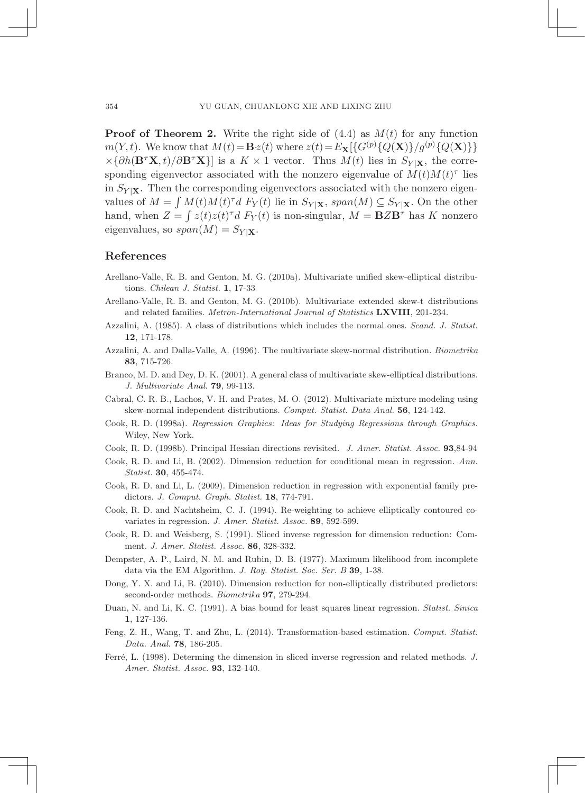Proof of Theorem 2. Write the right side of (4.4) as *M*(*t*) for any function *m*(*Y, t*). We know that  $M(t) = Bz(t)$  where  $z(t) = E$ **x**[{ $G^{(p)}$ { $Q$ (**X**)}/ $g^{(p)}$ { $Q$ (**X**)}}  $\times$ { $\partial h(\mathbf{B}^{\tau}\mathbf{X},t)/\partial \mathbf{B}^{\tau}\mathbf{X}$ } is a *K* × 1 vector. Thus *M*(*t*) lies in *S*<sub>*Y* |**x**, the corre-</sub> sponding eigenvector associated with the nonzero eigenvalue of  $M(t)M(t)$ <sup>*T*</sup> lies in  $S_{Y|X}$ . Then the corresponding eigenvectors associated with the nonzero eigenvalues of  $M = \int M(t)M(t)^{\tau}d$   $F_Y(t)$  lie in  $S_{Y|X}$ ,  $span(M) \subseteq S_{Y|X}$ . On the other hand, when  $Z = \int z(t)z(t)^{\tau}d F_Y(t)$  is non-singular,  $M = \mathbf{B}Z\mathbf{B}^{\tau}$  has K nonzero eigenvalues, so  $span(M) = S_{Y|X}$ .

### References

- Arellano-Valle, R. B. and Genton, M. G. (2010a). Multivariate unified skew-elliptical distributions. *Chilean J. Statist.* 1, 17-33
- Arellano-Valle, R. B. and Genton, M. G. (2010b). Multivariate extended skew-t distributions and related families. *Metron-International Journal of Statistics* LXVIII, 201-234.
- Azzalini, A. (1985). A class of distributions which includes the normal ones. *Scand. J. Statist.* 12, 171-178.
- Azzalini, A. and Dalla-Valle, A. (1996). The multivariate skew-normal distribution. *Biometrika* 83, 715-726.
- Branco, M. D. and Dey, D. K. (2001). A general class of multivariate skew-elliptical distributions. *J. Multivariate Anal.* 79, 99-113.
- Cabral, C. R. B., Lachos, V. H. and Prates, M. O. (2012). Multivariate mixture modeling using skew-normal independent distributions. *Comput. Statist. Data Anal.* 56, 124-142.
- Cook, R. D. (1998a). *Regression Graphics: Ideas for Studying Regressions through Graphics.* Wiley, New York.
- Cook, R. D. (1998b). Principal Hessian directions revisited. *J. Amer. Statist. Assoc.* 93,84-94
- Cook, R. D. and Li, B. (2002). Dimension reduction for conditional mean in regression. *Ann. Statist.* 30, 455-474.
- Cook, R. D. and Li, L. (2009). Dimension reduction in regression with exponential family predictors. *J. Comput. Graph. Statist.* 18, 774-791.
- Cook, R. D. and Nachtsheim, C. J. (1994). Re-weighting to achieve elliptically contoured covariates in regression. *J. Amer. Statist. Assoc.* 89, 592-599.
- Cook, R. D. and Weisberg, S. (1991). Sliced inverse regression for dimension reduction: Comment. *J. Amer. Statist. Assoc.* 86, 328-332.
- Dempster, A. P., Laird, N. M. and Rubin, D. B. (1977). Maximum likelihood from incomplete data via the EM Algorithm. *J. Roy. Statist. Soc. Ser. B* 39, 1-38.
- Dong, Y. X. and Li, B. (2010). Dimension reduction for non-elliptically distributed predictors: second-order methods. *Biometrika* 97, 279-294.
- Duan, N. and Li, K. C. (1991). A bias bound for least squares linear regression. *Statist. Sinica* 1, 127-136.
- Feng, Z. H., Wang, T. and Zhu, L. (2014). Transformation-based estimation. *Comput. Statist. Data. Anal.* 78, 186-205.
- Ferré, L. (1998). Determing the dimension in sliced inverse regression and related methods. *J. Amer. Statist. Assoc.* 93, 132-140.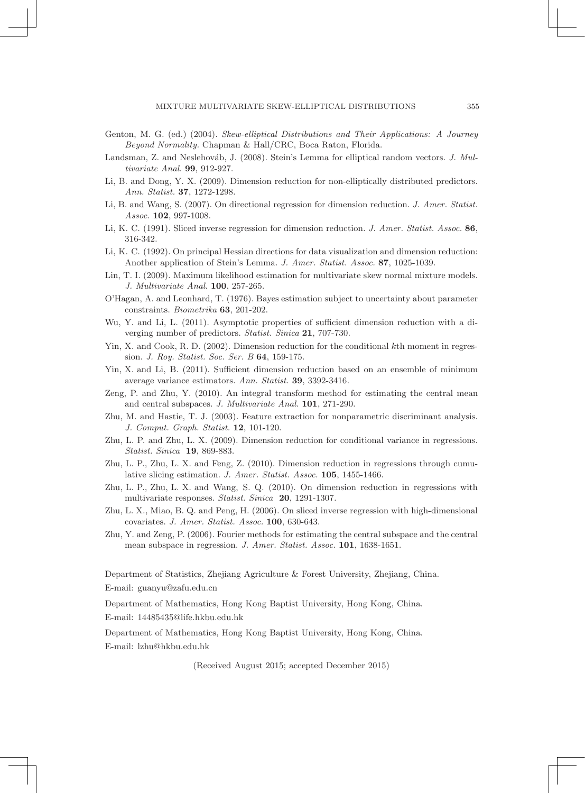MIXTURE MULTIVARIATE SKEW-ELLIPTICAL DISTRIBUTIONS 21

- Genton, M. G. (ed.) (2004). *Skew-elliptical Distributions and Their Applications: A Journey Beyond Normality.* Chapman & Hall/CRC, Boca Raton, Florida.
- Landsman, Z. and Neslehováb, J. (2008). Stein's Lemma for elliptical random vectors. *J. Multivariate Anal.* 99, 912-927.
- Li, B. and Dong, Y. X. (2009). Dimension reduction for non-elliptically distributed predictors. *Ann. Statist.* 37, 1272-1298.
- Li, B. and Wang, S. (2007). On directional regression for dimension reduction. *J. Amer. Statist. Assoc.* 102, 997-1008.
- Li, K. C. (1991). Sliced inverse regression for dimension reduction. *J. Amer. Statist. Assoc.* 86, 316-342.
- Li, K. C. (1992). On principal Hessian directions for data visualization and dimension reduction: Another application of Stein's Lemma. *J. Amer. Statist. Assoc.* 87, 1025-1039.
- Lin, T. I. (2009). Maximum likelihood estimation for multivariate skew normal mixture models. *J. Multivariate Anal.* 100, 257-265.
- O'Hagan, A. and Leonhard, T. (1976). Bayes estimation subject to uncertainty about parameter constraints. *Biometrika* 63, 201-202.
- Wu, Y. and Li, L. (2011). Asymptotic properties of sufficient dimension reduction with a diverging number of predictors. *Statist. Sinica* 21, 707-730.
- Yin, X. and Cook, R. D. (2002). Dimension reduction for the conditional *k*th moment in regression. *J. Roy. Statist. Soc. Ser. B* 64, 159-175.
- Yin, X. and Li, B. (2011). Sufficient dimension reduction based on an ensemble of minimum average variance estimators. *Ann. Statist.* 39, 3392-3416.
- Zeng, P. and Zhu, Y. (2010). An integral transform method for estimating the central mean and central subspaces. *J. Multivariate Anal.* 101, 271-290.
- Zhu, M. and Hastie, T. J. (2003). Feature extraction for nonparametric discriminant analysis. *J. Comput. Graph. Statist.* 12, 101-120.
- Zhu, L. P. and Zhu, L. X. (2009). Dimension reduction for conditional variance in regressions. *Statist. Sinica* 19, 869-883.
- Zhu, L. P., Zhu, L. X. and Feng, Z. (2010). Dimension reduction in regressions through cumulative slicing estimation. *J. Amer. Statist. Assoc.* 105, 1455-1466.
- Zhu, L. P., Zhu, L. X. and Wang, S. Q. (2010). On dimension reduction in regressions with multivariate responses. *Statist. Sinica* 20, 1291-1307.
- Zhu, L. X., Miao, B. Q. and Peng, H. (2006). On sliced inverse regression with high-dimensional covariates. *J. Amer. Statist. Assoc.* 100, 630-643.
- Zhu, Y. and Zeng, P. (2006). Fourier methods for estimating the central subspace and the central mean subspace in regression. *J. Amer. Statist. Assoc.* 101, 1638-1651.

Department of Statistics, Zhejiang Agriculture & Forest University, Zhejiang, China. E-mail: guanyu@zafu.edu.cn

Department of Mathematics, Hong Kong Baptist University, Hong Kong, China. E-mail: 14485435@life.hkbu.edu.hk

Department of Mathematics, Hong Kong Baptist University, Hong Kong, China. E-mail: lzhu@hkbu.edu.hk

(Received August 2015; accepted December 2015)